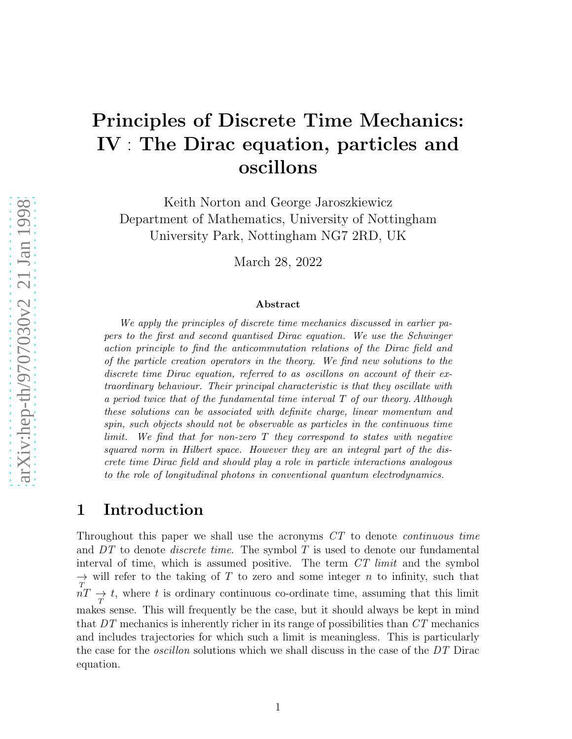# Principles of Discrete Time Mechanics: IV : The Dirac equation, particles and oscillons

Keith Norton and George Jaroszkiewicz Department of Mathematics, University of Nottingham University Park, Nottingham NG7 2RD, UK

March 28, 2022

#### Abstract

We apply the principles of discrete time mechanics discussed in earlier papers to the first and second quantised Dirac equation. We use the Schwinger action principle to find the anticommutation relations of the Dirac field and of the particle creation operators in the theory. We find new solutions to the discrete time Dirac equation, referred to as oscillons on account of their extraordinary behaviour. Their principal characteristic is that they oscillate with a period twice that of the fundamental time interval T of our theory. Although these solutions can be associated with definite charge, linear momentum and spin, such objects should not be observable as particles in the continuous time  $limit.$  We find that for non-zero  $T$  they correspond to states with negative squared norm in Hilbert space. However they are an integral part of the discrete time Dirac field and should play a role in particle interactions analogous to the role of longitudinal photons in conventional quantum electrodynamics.

# 1 Introduction

Throughout this paper we shall use the acronyms *CT* to denote *continuous time* and *DT* to denote *discrete time*. The symbol T is used to denote our fundamental interval of time, which is assumed positive. The term *CT limit* and the symbol  $\rightarrow$  will refer to the taking of T to zero and some integer n to infinity, such that  $nT \rightarrow t$ , where t is ordinary continuous co-ordinate time, assuming that this limit makes sense. This will frequently be the case, but it should always be kept in mind that *DT* mechanics is inherently richer in its range of possibilities than *CT* mechanics and includes trajectories for which such a limit is meaningless. This is particularly the case for the *oscillon* solutions which we shall discuss in the case of the *DT* Dirac equation.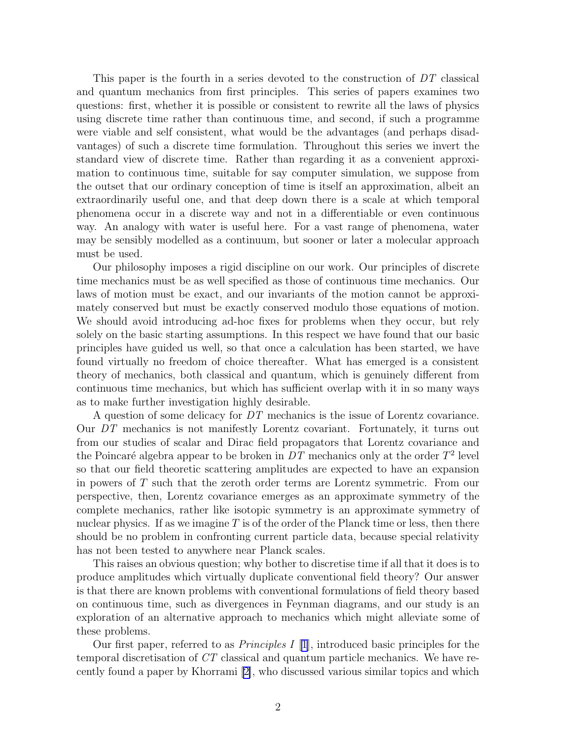This paper is the fourth in a series devoted to the construction of *DT* classical and quantum mechanics from first principles. This series of papers examines two questions: first, whether it is possible or consistent to rewrite all the laws of physics using discrete time rather than continuous time, and second, if such a programme were viable and self consistent, what would be the advantages (and perhaps disadvantages) of such a discrete time formulation. Throughout this series we invert the standard view of discrete time. Rather than regarding it as a convenient approximation to continuous time, suitable for say computer simulation, we suppose from the outset that our ordinary conception of time is itself an approximation, albeit an extraordinarily useful one, and that deep down there is a scale at which temporal phenomena occur in a discrete way and not in a differentiable or even continuous way. An analogy with water is useful here. For a vast range of phenomena, water may be sensibly modelled as a continuum, but sooner or later a molecular approach must be used.

Our philosophy imposes a rigid discipline on our work. Our principles of discrete time mechanics must be as well specified as those of continuous time mechanics. Our laws of motion must be exact, and our invariants of the motion cannot be approximately conserved but must be exactly conserved modulo those equations of motion. We should avoid introducing ad-hoc fixes for problems when they occur, but rely solely on the basic starting assumptions. In this respect we have found that our basic principles have guided us well, so that once a calculation has been started, we have found virtually no freedom of choice thereafter. What has emerged is a consistent theory of mechanics, both classical and quantum, which is genuinely different from continuous time mechanics, but which has sufficient overlap with it in so many ways as to make further investigation highly desirable.

A question of some delicacy for *DT* mechanics is the issue of Lorentz covariance. Our *DT* mechanics is not manifestly Lorentz covariant. Fortunately, it turns out from our studies of scalar and Dirac field propagators that Lorentz covariance and the Poincaré algebra appear to be broken in  $DT$  mechanics only at the order  $T^2$  level so that our field theoretic scattering amplitudes are expected to have an expansion in powers of  $T$  such that the zeroth order terms are Lorentz symmetric. From our perspective, then, Lorentz covariance emerges as an approximate symmetry of the complete mechanics, rather like isotopic symmetry is an approximate symmetry of nuclear physics. If as we imagine  $T$  is of the order of the Planck time or less, then there should be no problem in confronting current particle data, because special relativity has not been tested to anywhere near Planck scales.

This raises an obvious question; why bother to discretise time if all that it does is to produce amplitudes which virtually duplicate conventional field theory? Our answer is that there are known problems with conventional formulations of field theory based on continuous time, such as divergences in Feynman diagrams, and our study is an exploration of an alternative approach to mechanics which might alleviate some of these problems.

Our first paper, referred to as *Principles I* [\[1](#page-26-0)], introduced basic principles for the temporal discretisation of *CT* classical and quantum particle mechanics. We have recently found a paper by Khorrami [\[2\]](#page-26-0), who discussed various similar topics and which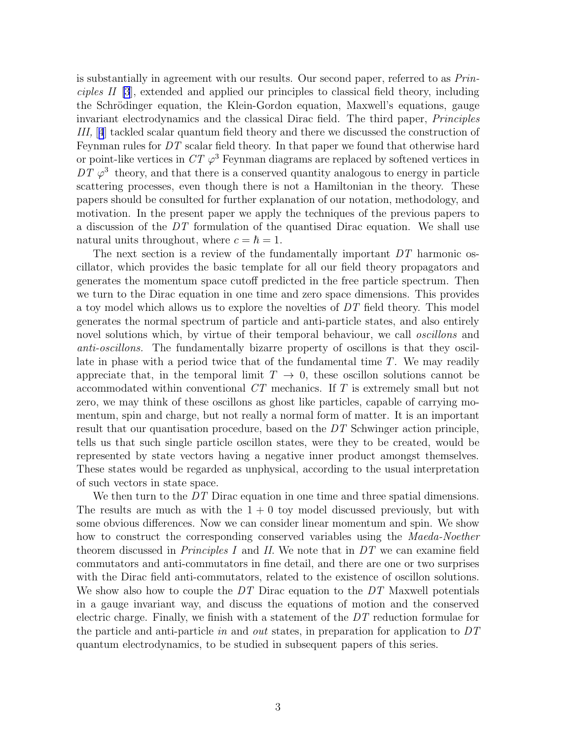is substantially in agreement with our results. Our second paper, referred to as *Principles II* [\[3](#page-26-0)], extended and applied our principles to classical field theory, including the Schrödinger equation, the Klein-Gordon equation, Maxwell's equations, gauge invariant electrodynamics and the classical Dirac field. The third paper, *Principles III,* [[4](#page-26-0)] tackled scalar quantum field theory and there we discussed the construction of Feynman rules for *DT* scalar field theory. In that paper we found that otherwise hard or point-like vertices in  $CT \varphi^3$  Feynman diagrams are replaced by softened vertices in  $DT \varphi^3$  theory, and that there is a conserved quantity analogous to energy in particle scattering processes, even though there is not a Hamiltonian in the theory. These papers should be consulted for further explanation of our notation, methodology, and motivation. In the present paper we apply the techniques of the previous papers to a discussion of the *DT* formulation of the quantised Dirac equation. We shall use natural units throughout, where  $c = \hbar = 1$ .

The next section is a review of the fundamentally important *DT* harmonic oscillator, which provides the basic template for all our field theory propagators and generates the momentum space cutoff predicted in the free particle spectrum. Then we turn to the Dirac equation in one time and zero space dimensions. This provides a toy model which allows us to explore the novelties of *DT* field theory. This model generates the normal spectrum of particle and anti-particle states, and also entirely novel solutions which, by virtue of their temporal behaviour, we call *oscillons* and *anti-oscillons.* The fundamentally bizarre property of oscillons is that they oscillate in phase with a period twice that of the fundamental time T. We may readily appreciate that, in the temporal limit  $T \to 0$ , these oscillon solutions cannot be accommodated within conventional *CT* mechanics. If T is extremely small but not zero, we may think of these oscillons as ghost like particles, capable of carrying momentum, spin and charge, but not really a normal form of matter. It is an important result that our quantisation procedure, based on the *DT* Schwinger action principle, tells us that such single particle oscillon states, were they to be created, would be represented by state vectors having a negative inner product amongst themselves. These states would be regarded as unphysical, according to the usual interpretation of such vectors in state space.

We then turn to the *DT* Dirac equation in one time and three spatial dimensions. The results are much as with the  $1 + 0$  toy model discussed previously, but with some obvious differences. Now we can consider linear momentum and spin. We show how to construct the corresponding conserved variables using the *Maeda-Noether* theorem discussed in *Principles I* and *II*. We note that in *DT* we can examine field commutators and anti-commutators in fine detail, and there are one or two surprises with the Dirac field anti-commutators, related to the existence of oscillon solutions. We show also how to couple the *DT* Dirac equation to the *DT* Maxwell potentials in a gauge invariant way, and discuss the equations of motion and the conserved electric charge. Finally, we finish with a statement of the *DT* reduction formulae for the particle and anti-particle *in* and *out* states, in preparation for application to *DT* quantum electrodynamics, to be studied in subsequent papers of this series.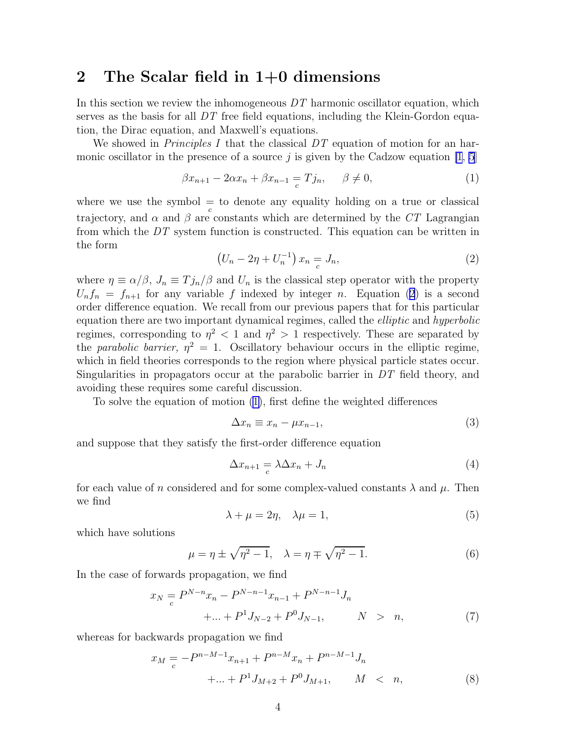### <span id="page-3-0"></span>2 The Scalar field in 1+0 dimensions

In this section we review the inhomogeneous *DT* harmonic oscillator equation, which serves as the basis for all *DT* free field equations, including the Klein-Gordon equation, the Dirac equation, and Maxwell's equations.

We showed in *Principles I* that the classical *DT* equation of motion for an harmonic oscillator in the presence of a source  $i$  is given by the Cadzow equation [\[1](#page-26-0), [5](#page-26-0)]

$$
\beta x_{n+1} - 2\alpha x_n + \beta x_{n-1} = Tj_n, \quad \beta \neq 0,
$$
\n(1)

where we use the symbol  $\frac{1}{c}$  to denote any equality holding on a true or classical trajectory, and  $\alpha$  and  $\beta$  are constants which are determined by the *CT* Lagrangian from which the *DT* system function is constructed. This equation can be written in the form

$$
(U_n - 2\eta + U_n^{-1}) x_n = J_n,
$$
\n(2)

where  $\eta \equiv \alpha/\beta$ ,  $J_n \equiv T j_n/\beta$  and  $U_n$  is the classical step operator with the property  $U_n f_n = f_{n+1}$  for any variable f indexed by integer n. Equation (2) is a second order difference equation. We recall from our previous papers that for this particular equation there are two important dynamical regimes, called the *elliptic* and *hyperbolic* regimes, corresponding to  $\eta^2$  < 1 and  $\eta^2$  > 1 respectively. These are separated by the *parabolic barrier*,  $\eta^2 = 1$ . Oscillatory behaviour occurs in the elliptic regime, which in field theories corresponds to the region where physical particle states occur. Singularities in propagators occur at the parabolic barrier in *DT* field theory, and avoiding these requires some careful discussion.

To solve the equation of motion (1), first define the weighted differences

$$
\Delta x_n \equiv x_n - \mu x_{n-1},\tag{3}
$$

and suppose that they satisfy the first-order difference equation

$$
\Delta x_{n+1} = \lambda \Delta x_n + J_n \tag{4}
$$

for each value of n considered and for some complex-valued constants  $\lambda$  and  $\mu$ . Then we find

$$
\lambda + \mu = 2\eta, \quad \lambda \mu = 1,\tag{5}
$$

which have solutions

$$
\mu = \eta \pm \sqrt{\eta^2 - 1}, \quad \lambda = \eta \mp \sqrt{\eta^2 - 1}.
$$
 (6)

In the case of forwards propagation, we find

$$
x_N = P^{N-n}x_n - P^{N-n-1}x_{n-1} + P^{N-n-1}J_n
$$
  
 
$$
+...+P^{1}J_{N-2} + P^{0}J_{N-1}, \qquad N > n,
$$
 (7)

whereas for backwards propagation we find

$$
x_M = -P^{n-M-1}x_{n+1} + P^{n-M}x_n + P^{n-M-1}J_n
$$
  
 
$$
+...+P^1J_{M+2} + P^0J_{M+1}, \qquad M < n,
$$
 (8)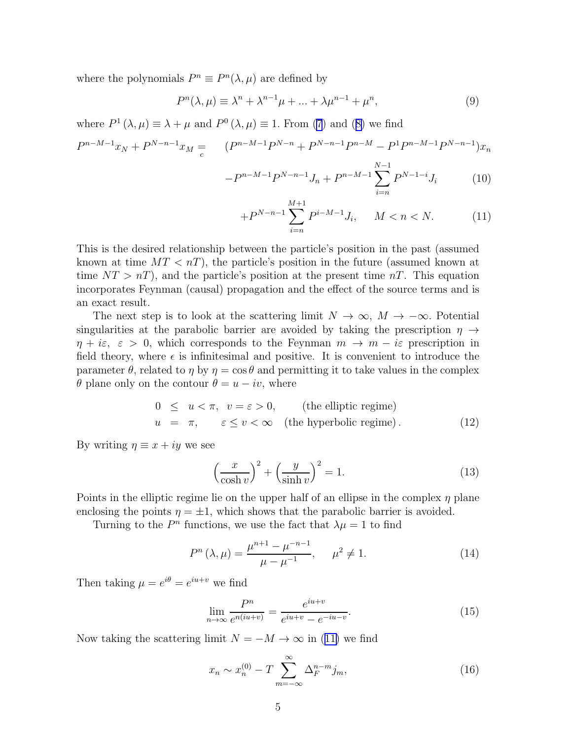where the polynomials  $P^n \equiv P^n(\lambda, \mu)$  are defined by

$$
P^{n}(\lambda,\mu) \equiv \lambda^{n} + \lambda^{n-1}\mu + \dots + \lambda\mu^{n-1} + \mu^{n},
$$
\n(9)

where $P^1(\lambda,\mu) \equiv \lambda + \mu$  and  $P^0(\lambda,\mu) \equiv 1$ . From [\(7](#page-3-0)) and ([8\)](#page-3-0) we find

$$
P^{n-M-1}x_N + P^{N-n-1}x_M = (P^{n-M-1}P^{N-n} + P^{N-n-1}P^{n-M} - P^1P^{n-M-1}P^{N-n-1})x_n
$$

$$
-P^{n-M-1}P^{N-n-1}J_n + P^{n-M-1} \sum_{i=n}^{N-1} P^{N-1-i}J_i \tag{10}
$$

$$
+P^{N-n-1} \sum_{i=n}^{M+1} P^{i-M-1} J_i, \quad M < n < N. \tag{11}
$$

This is the desired relationship between the particle's position in the past (assumed known at time  $MT < nT$ ), the particle's position in the future (assumed known at time  $NT > nT$ , and the particle's position at the present time  $nT$ . This equation incorporates Feynman (causal) propagation and the effect of the source terms and is an exact result.

The next step is to look at the scattering limit  $N \to \infty$ ,  $M \to -\infty$ . Potential singularities at the parabolic barrier are avoided by taking the prescription  $\eta \rightarrow$  $\eta + i\varepsilon$ ,  $\varepsilon > 0$ , which corresponds to the Feynman  $m \to m - i\varepsilon$  prescription in field theory, where  $\epsilon$  is infinitesimal and positive. It is convenient to introduce the parameter  $\theta$ , related to  $\eta$  by  $\eta = \cos \theta$  and permitting it to take values in the complex θ plane only on the contour  $θ = u - iv$ , where

$$
0 \le u < \pi, \quad v = \varepsilon > 0,
$$
 (the elliptic regime)  

$$
u = \pi, \quad \varepsilon \le v < \infty
$$
 (the hyperbolic regime). (12)

By writing  $\eta \equiv x + iy$  we see

$$
\left(\frac{x}{\cosh v}\right)^2 + \left(\frac{y}{\sinh v}\right)^2 = 1.
$$
\n(13)

Points in the elliptic regime lie on the upper half of an ellipse in the complex  $\eta$  plane enclosing the points  $\eta = \pm 1$ , which shows that the parabolic barrier is avoided.

Turning to the  $P^n$  functions, we use the fact that  $\lambda \mu = 1$  to find

$$
P^{n}(\lambda,\mu) = \frac{\mu^{n+1} - \mu^{-n-1}}{\mu - \mu^{-1}}, \quad \mu^{2} \neq 1.
$$
 (14)

Then taking  $\mu = e^{i\theta} = e^{iu+v}$  we find

$$
\lim_{n \to \infty} \frac{P^n}{e^{n(iu+v)}} = \frac{e^{iu+v}}{e^{iu+v} - e^{-iu-v}}.\tag{15}
$$

Now taking the scattering limit  $N = -M \rightarrow \infty$  in (11) we find

$$
x_n \sim x_n^{(0)} - T \sum_{m=-\infty}^{\infty} \Delta_F^{n-m} j_m,
$$
\n(16)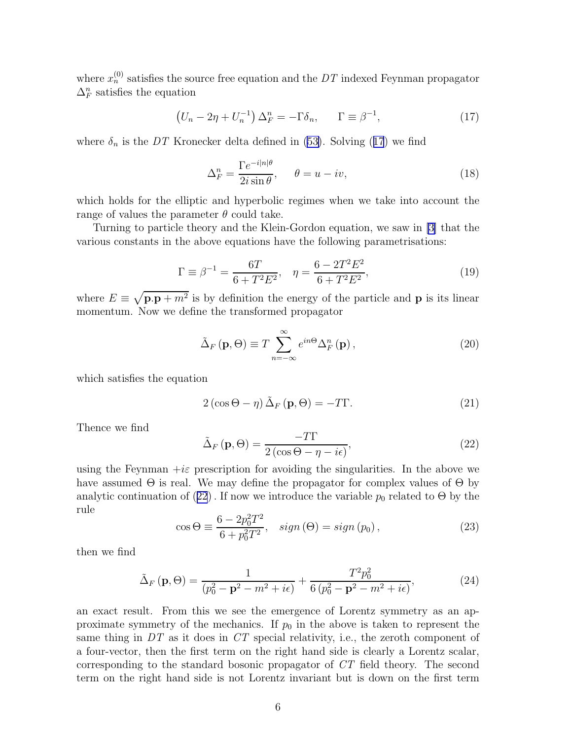<span id="page-5-0"></span>where  $x_n^{(0)}$  satisfies the source free equation and the  $DT$  indexed Feynman propagator  $\Delta_F^n$  satisfies the equation

$$
(U_n - 2\eta + U_n^{-1}) \Delta_F^n = -\Gamma \delta_n, \qquad \Gamma \equiv \beta^{-1}, \tag{17}
$$

where  $\delta_n$  is the DT Kronecker delta defined in [\(53\)](#page-10-0). Solving (17) we find

$$
\Delta_F^n = \frac{\Gamma e^{-i|n|\theta}}{2i \sin \theta}, \qquad \theta = u - iv,
$$
\n(18)

which holds for the elliptic and hyperbolic regimes when we take into account the range of values the parameter  $\theta$  could take.

Turning to particle theory and the Klein-Gordon equation, we saw in [\[3](#page-26-0)] that the various constants in the above equations have the following parametrisations:

$$
\Gamma \equiv \beta^{-1} = \frac{6T}{6 + T^2 E^2}, \quad \eta = \frac{6 - 2T^2 E^2}{6 + T^2 E^2},\tag{19}
$$

where  $E \equiv \sqrt{\mathbf{p} \cdot \mathbf{p} + m^2}$  is by definition the energy of the particle and **p** is its linear momentum. Now we define the transformed propagator

$$
\tilde{\Delta}_F(\mathbf{p}, \Theta) \equiv T \sum_{n=-\infty}^{\infty} e^{in\Theta} \Delta_F^n(\mathbf{p}), \qquad (20)
$$

which satisfies the equation

$$
2\left(\cos\Theta - \eta\right)\tilde{\Delta}_F\left(\mathbf{p}, \Theta\right) = -T\Gamma.
$$
\n(21)

Thence we find

$$
\tilde{\Delta}_F(\mathbf{p}, \Theta) = \frac{-T\Gamma}{2(\cos\Theta - \eta - i\epsilon)},\tag{22}
$$

using the Feynman  $+i\varepsilon$  prescription for avoiding the singularities. In the above we have assumed Θ is real. We may define the propagator for complex values of Θ by analytic continuation of (22). If now we introduce the variable  $p_0$  related to  $\Theta$  by the rule

$$
\cos \Theta \equiv \frac{6 - 2p_0^2 T^2}{6 + p_0^2 T^2}, \quad sign(\Theta) = sign(p_0), \tag{23}
$$

then we find

$$
\tilde{\Delta}_F(\mathbf{p}, \Theta) = \frac{1}{(p_0^2 - \mathbf{p}^2 - m^2 + i\epsilon)} + \frac{T^2 p_0^2}{6 (p_0^2 - \mathbf{p}^2 - m^2 + i\epsilon)},
$$
\n(24)

an exact result. From this we see the emergence of Lorentz symmetry as an approximate symmetry of the mechanics. If  $p_0$  in the above is taken to represent the same thing in *DT* as it does in *CT* special relativity, i.e., the zeroth component of a four-vector, then the first term on the right hand side is clearly a Lorentz scalar, corresponding to the standard bosonic propagator of *CT* field theory. The second term on the right hand side is not Lorentz invariant but is down on the first term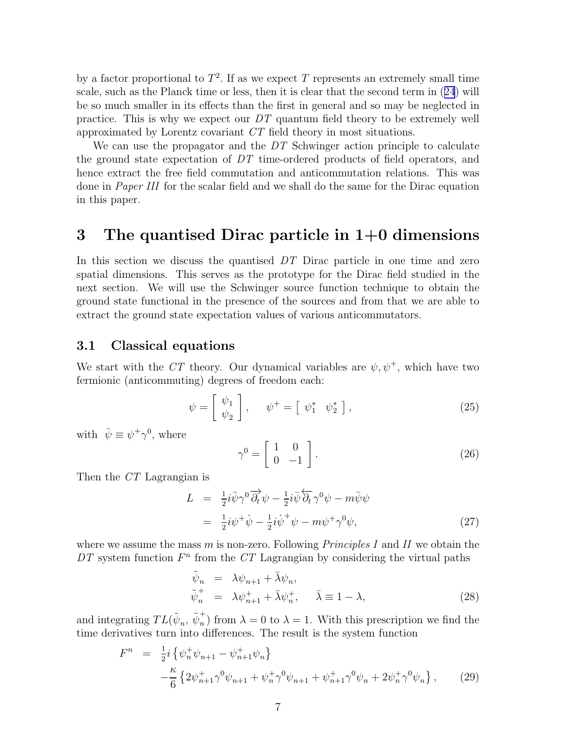by a factor proportional to  $T^2$ . If as we expect T represents an extremely small time scale, such as the Planck time or less, then it is clear that the second term in([24](#page-5-0)) will be so much smaller in its effects than the first in general and so may be neglected in practice. This is why we expect our *DT* quantum field theory to be extremely well approximated by Lorentz covariant *CT* field theory in most situations.

We can use the propagator and the *DT* Schwinger action principle to calculate the ground state expectation of *DT* time-ordered products of field operators, and hence extract the free field commutation and anticommutation relations. This was done in *Paper III* for the scalar field and we shall do the same for the Dirac equation in this paper.

# 3 The quantised Dirac particle in 1+0 dimensions

In this section we discuss the quantised *DT* Dirac particle in one time and zero spatial dimensions. This serves as the prototype for the Dirac field studied in the next section. We will use the Schwinger source function technique to obtain the ground state functional in the presence of the sources and from that we are able to extract the ground state expectation values of various anticommutators.

#### 3.1 Classical equations

We start with the CT theory. Our dynamical variables are  $\psi, \psi^+$ , which have two fermionic (anticommuting) degrees of freedom each:

$$
\psi = \begin{bmatrix} \psi_1 \\ \psi_2 \end{bmatrix}, \quad \psi^+ = \begin{bmatrix} \psi_1^* & \psi_2^* \end{bmatrix}, \tag{25}
$$

with  $\bar{\psi} \equiv \psi^+ \gamma^0$ , where

$$
\gamma^0 = \left[ \begin{array}{cc} 1 & 0 \\ 0 & -1 \end{array} \right]. \tag{26}
$$

Then the *CT* Lagrangian is

$$
L = \frac{1}{2}i\bar{\psi}\gamma^{0}\overrightarrow{\partial_{t}}\psi - \frac{1}{2}i\bar{\psi}\overleftarrow{\partial_{t}}\gamma^{0}\psi - m\bar{\psi}\psi
$$
  

$$
= \frac{1}{2}i\psi^{+}\dot{\psi} - \frac{1}{2}i\dot{\psi}^{+}\psi - m\psi^{+}\gamma^{0}\psi,
$$
 (27)

where we assume the mass m is non-zero. Following *Principles I* and *II* we obtain the  $DT$  system function  $F<sup>n</sup>$  from the  $CT$  Lagrangian by considering the virtual paths

$$
\tilde{\psi}_n = \lambda \psi_{n+1} + \bar{\lambda} \psi_n,
$$
\n
$$
\tilde{\psi}_n^+ = \lambda \psi_{n+1}^+ + \bar{\lambda} \psi_n^+, \quad \bar{\lambda} \equiv 1 - \lambda,
$$
\n(28)

and integrating  $TL(\tilde{\psi}_n, \tilde{\psi}_n^+)$  $\lambda$  is the number of the 1. With this prescription we find the time derivatives turn into differences. The result is the system function

$$
F^{n} = \frac{1}{2}i \left\{ \psi_{n}^{+} \psi_{n+1} - \psi_{n+1}^{+} \psi_{n} \right\}
$$

$$
- \frac{\kappa}{6} \left\{ 2\psi_{n+1}^{+} \gamma^{0} \psi_{n+1} + \psi_{n}^{+} \gamma^{0} \psi_{n+1} + \psi_{n+1}^{+} \gamma^{0} \psi_{n} + 2\psi_{n}^{+} \gamma^{0} \psi_{n} \right\}, \qquad (29)
$$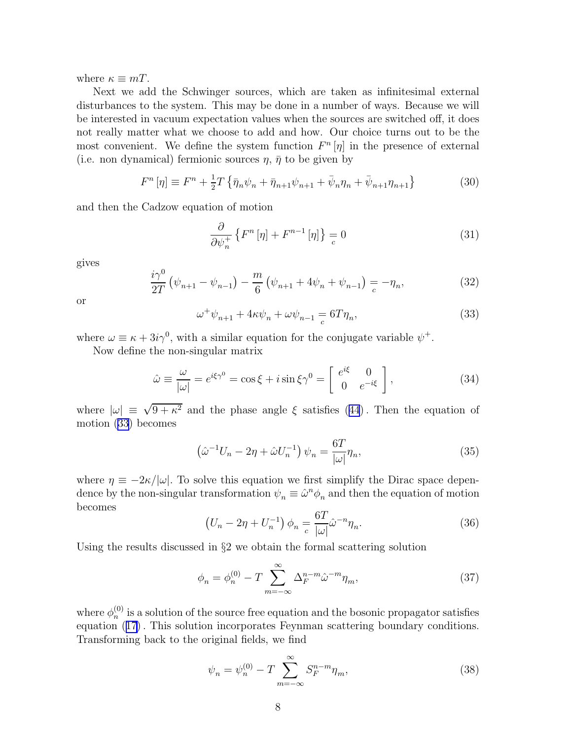<span id="page-7-0"></span>where  $\kappa \equiv mT$ .

Next we add the Schwinger sources, which are taken as infinitesimal external disturbances to the system. This may be done in a number of ways. Because we will be interested in vacuum expectation values when the sources are switched off, it does not really matter what we choose to add and how. Our choice turns out to be the most convenient. We define the system function  $F<sup>n</sup>[n]$  in the presence of external (i.e. non dynamical) fermionic sources  $\eta$ ,  $\bar{\eta}$  to be given by

$$
F^{n}[\eta] \equiv F^{n} + \frac{1}{2}T\left\{\bar{\eta}_{n}\psi_{n} + \bar{\eta}_{n+1}\psi_{n+1} + \bar{\psi}_{n}\eta_{n} + \bar{\psi}_{n+1}\eta_{n+1}\right\}
$$
(30)

and then the Cadzow equation of motion

$$
\frac{\partial}{\partial \psi_n^+} \left\{ F^n \left[ \eta \right] + F^{n-1} \left[ \eta \right] \right\} = 0 \tag{31}
$$

gives

$$
\frac{i\gamma^0}{2T} \left( \psi_{n+1} - \psi_{n-1} \right) - \frac{m}{6} \left( \psi_{n+1} + 4\psi_n + \psi_{n-1} \right) = -\eta_n,\tag{32}
$$

or

$$
\omega^+ \psi_{n+1} + 4\kappa \psi_n + \omega \psi_{n-1} = 6T\eta_n,\tag{33}
$$

where  $\omega \equiv \kappa + 3i\gamma^0$ , with a similar equation for the conjugate variable  $\psi^+$ .

Now define the non-singular matrix

$$
\hat{\omega} \equiv \frac{\omega}{|\omega|} = e^{i\xi\gamma^0} = \cos\xi + i\sin\xi\gamma^0 = \begin{bmatrix} e^{i\xi} & 0\\ 0 & e^{-i\xi} \end{bmatrix},\tag{34}
$$

where $|\omega| \equiv \sqrt{9 + \kappa^2}$  and the phase angle  $\xi$  satisfies ([44](#page-8-0)). Then the equation of motion (33) becomes

$$
\left(\hat{\omega}^{-1}U_n - 2\eta + \hat{\omega}U_n^{-1}\right)\psi_n = \frac{6T}{|\omega|}\eta_n,\tag{35}
$$

where  $\eta \equiv -2\kappa/|\omega|$ . To solve this equation we first simplify the Dirac space dependence by the non-singular transformation  $\psi_n \equiv \hat{\omega}^n \phi_n$  and then the equation of motion becomes

$$
\left(U_n - 2\eta + U_n^{-1}\right)\phi_n = \frac{6T}{|\omega|}\hat{\omega}^{-n}\eta_n.
$$
\n(36)

Using the results discussed in §2 we obtain the formal scattering solution

$$
\phi_n = \phi_n^{(0)} - T \sum_{m = -\infty}^{\infty} \Delta_F^{n-m} \hat{\omega}^{-m} \eta_m,
$$
\n(37)

where  $\phi_n^{(0)}$  is a solution of the source free equation and the bosonic propagator satisfies equation([17\)](#page-5-0). This solution incorporates Feynman scattering boundary conditions. Transforming back to the original fields, we find

$$
\psi_n = \psi_n^{(0)} - T \sum_{m = -\infty}^{\infty} S_F^{n-m} \eta_m,
$$
\n(38)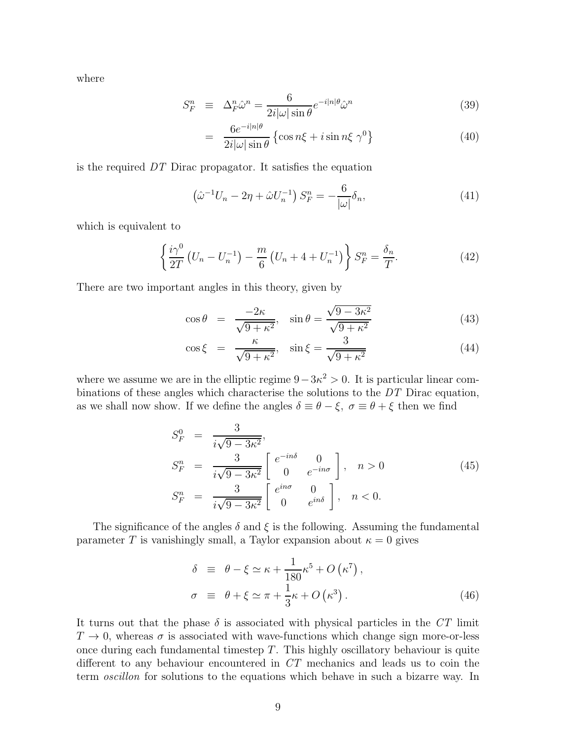<span id="page-8-0"></span>where

$$
S_F^n \equiv \Delta_F^n \hat{\omega}^n = \frac{6}{2i|\omega|\sin\theta} e^{-i|n|\theta} \hat{\omega}^n \tag{39}
$$

$$
= \frac{6e^{-i|n|\theta}}{2i|\omega|\sin\theta} \left\{ \cos n\xi + i\sin n\xi \gamma^0 \right\} \tag{40}
$$

is the required *DT* Dirac propagator. It satisfies the equation

$$
\left(\hat{\omega}^{-1}U_n - 2\eta + \hat{\omega}U_n^{-1}\right)S_F^n = -\frac{6}{|\omega|}\delta_n,\tag{41}
$$

which is equivalent to

$$
\left\{\frac{i\gamma^0}{2T}\left(U_n - U_n^{-1}\right) - \frac{m}{6}\left(U_n + 4 + U_n^{-1}\right)\right\}S_F^n = \frac{\delta_n}{T}.\tag{42}
$$

There are two important angles in this theory, given by

$$
\cos \theta = \frac{-2\kappa}{\sqrt{9+\kappa^2}}, \quad \sin \theta = \frac{\sqrt{9-3\kappa^2}}{\sqrt{9+\kappa^2}} \tag{43}
$$

$$
\cos \xi = \frac{\kappa}{\sqrt{9 + \kappa^2}}, \quad \sin \xi = \frac{3}{\sqrt{9 + \kappa^2}} \tag{44}
$$

where we assume we are in the elliptic regime  $9-3\kappa^2 > 0$ . It is particular linear combinations of these angles which characterise the solutions to the *DT* Dirac equation, as we shall now show. If we define the angles  $\delta \equiv \theta - \xi$ ,  $\sigma \equiv \theta + \xi$  then we find

$$
S_F^0 = \frac{3}{i\sqrt{9 - 3\kappa^2}},
$$
  
\n
$$
S_F^n = \frac{3}{i\sqrt{9 - 3\kappa^2}} \begin{bmatrix} e^{-in\delta} & 0 \\ 0 & e^{-in\sigma} \end{bmatrix}, \quad n > 0
$$
  
\n
$$
S_F^n = \frac{3}{i\sqrt{9 - 3\kappa^2}} \begin{bmatrix} e^{in\sigma} & 0 \\ 0 & e^{in\delta} \end{bmatrix}, \quad n < 0.
$$
\n(45)

The significance of the angles  $\delta$  and  $\xi$  is the following. Assuming the fundamental parameter T is vanishingly small, a Taylor expansion about  $\kappa = 0$  gives

$$
\delta \equiv \theta - \xi \simeq \kappa + \frac{1}{180} \kappa^5 + O(\kappa^7),
$$
  
\n
$$
\sigma \equiv \theta + \xi \simeq \pi + \frac{1}{3} \kappa + O(\kappa^3).
$$
 (46)

It turns out that the phase  $\delta$  is associated with physical particles in the  $CT$  limit  $T \to 0$ , whereas  $\sigma$  is associated with wave-functions which change sign more-or-less once during each fundamental timestep  $T$ . This highly oscillatory behaviour is quite different to any behaviour encountered in *CT* mechanics and leads us to coin the term *oscillon* for solutions to the equations which behave in such a bizarre way. In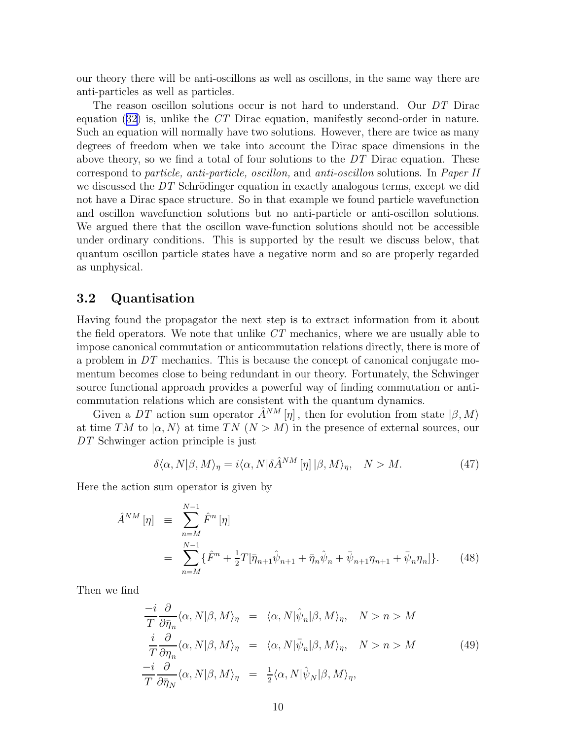<span id="page-9-0"></span>our theory there will be anti-oscillons as well as oscillons, in the same way there are anti-particles as well as particles.

The reason oscillon solutions occur is not hard to understand. Our *DT* Dirac equation [\(32\)](#page-7-0) is, unlike the *CT* Dirac equation, manifestly second-order in nature. Such an equation will normally have two solutions. However, there are twice as many degrees of freedom when we take into account the Dirac space dimensions in the above theory, so we find a total of four solutions to the *DT* Dirac equation. These correspond to *particle, anti-particle, oscillon,* and *anti-oscillon* solutions. In *Paper II* we discussed the DT Schrödinger equation in exactly analogous terms, except we did not have a Dirac space structure. So in that example we found particle wavefunction and oscillon wavefunction solutions but no anti-particle or anti-oscillon solutions. We argued there that the oscillon wave-function solutions should not be accessible under ordinary conditions. This is supported by the result we discuss below, that quantum oscillon particle states have a negative norm and so are properly regarded as unphysical.

#### 3.2 Quantisation

Having found the propagator the next step is to extract information from it about the field operators. We note that unlike *CT* mechanics, where we are usually able to impose canonical commutation or anticommutation relations directly, there is more of a problem in *DT* mechanics. This is because the concept of canonical conjugate momentum becomes close to being redundant in our theory. Fortunately, the Schwinger source functional approach provides a powerful way of finding commutation or anticommutation relations which are consistent with the quantum dynamics.

Given a DT action sum operator  $\hat{A}^{NM}[\eta]$ , then for evolution from state  $|\beta, M\rangle$ at time TM to  $|\alpha, N\rangle$  at time TN  $(N > M)$  in the presence of external sources, our *DT* Schwinger action principle is just

$$
\delta \langle \alpha, N | \beta, M \rangle_{\eta} = i \langle \alpha, N | \delta \hat{A}^{NM} [\eta] | \beta, M \rangle_{\eta}, \quad N > M. \tag{47}
$$

Here the action sum operator is given by

$$
\hat{A}^{NM}[\eta] \equiv \sum_{n=M}^{N-1} \hat{F}^n[\eta] \n= \sum_{n=M}^{N-1} \{ \hat{F}^n + \frac{1}{2} T[\bar{\eta}_{n+1} \hat{\psi}_{n+1} + \bar{\eta}_n \hat{\psi}_n + \bar{\psi}_{n+1} \eta_{n+1} + \bar{\psi}_n \eta_n] \}.
$$
\n(48)

Then we find

$$
\frac{-i}{T} \frac{\partial}{\partial \bar{\eta}_n} \langle \alpha, N | \beta, M \rangle_{\eta} = \langle \alpha, N | \hat{\psi}_n | \beta, M \rangle_{\eta}, \quad N > n > M
$$
  

$$
\frac{i}{T} \frac{\partial}{\partial \eta_n} \langle \alpha, N | \beta, M \rangle_{\eta} = \langle \alpha, N | \bar{\psi}_n | \beta, M \rangle_{\eta}, \quad N > n > M
$$
(49)  

$$
\frac{-i}{T} \frac{\partial}{\partial \bar{\eta}_N} \langle \alpha, N | \beta, M \rangle_{\eta} = \frac{1}{2} \langle \alpha, N | \hat{\psi}_N | \beta, M \rangle_{\eta},
$$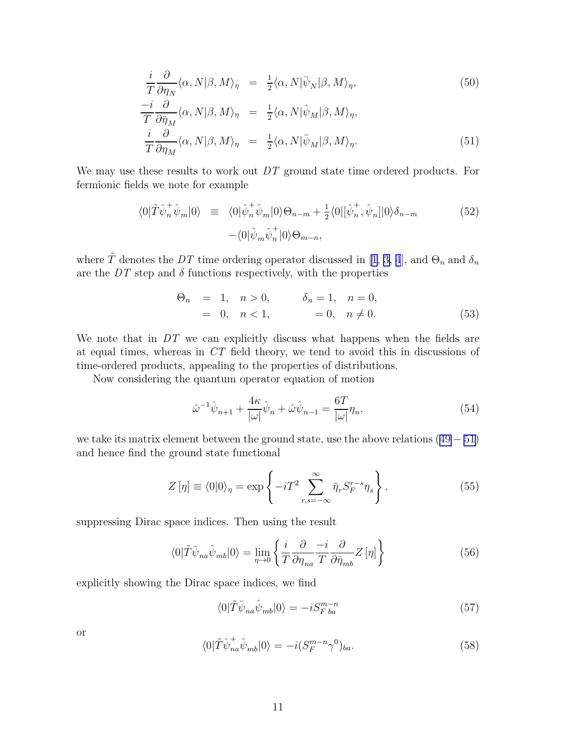<span id="page-10-0"></span>
$$
\frac{i}{T} \frac{\partial}{\partial \eta_N} \langle \alpha, N | \beta, M \rangle_{\eta} = \frac{1}{2} \langle \alpha, N | \bar{\psi}_N | \beta, M \rangle_{\eta},
$$
\n
$$
-i \frac{\partial}{\partial \eta_N} \langle \alpha, N | \beta, M \rangle_{\eta} = \frac{1}{2} \langle \alpha, N | \bar{\psi}_N | \beta, M \rangle_{\eta},
$$
\n(50)

$$
\frac{-i}{T} \frac{\partial}{\partial \bar{\eta}_M} \langle \alpha, N | \beta, M \rangle_{\eta} = \frac{1}{2} \langle \alpha, N | \hat{\psi}_M | \beta, M \rangle_{\eta}, \frac{i}{T} \frac{\partial}{\partial \eta_M} \langle \alpha, N | \beta, M \rangle_{\eta} = \frac{1}{2} \langle \alpha, N | \bar{\psi}_M | \beta, M \rangle_{\eta}.
$$
\n(51)

We may use these results to work out *DT* ground state time ordered products. For fermionic fields we note for example

$$
\langle 0|\tilde{T}\hat{\psi}_n^+\hat{\psi}_m|0\rangle \equiv \langle 0|\hat{\psi}_n^+\hat{\psi}_m|0\rangle\Theta_{n-m} + \frac{1}{2}\langle 0|[\hat{\psi}_n^+,\hat{\psi}_n]|0\rangle\delta_{n-m} -\langle 0|\hat{\psi}_m\hat{\psi}_n^+|0\rangle\Theta_{m-n}, \qquad (52)
$$

where  $\tilde{T}$  denotes the *DT* time ordering operator discussed in [\[1](#page-26-0), [3, 4](#page-26-0)], and  $\Theta_n$  and  $\delta_n$ are the  $DT$  step and  $\delta$  functions respectively, with the properties

$$
\Theta_n = 1, \quad n > 0, \qquad \delta_n = 1, \quad n = 0, \n= 0, \quad n < 1, \qquad = 0, \quad n \neq 0.
$$
\n(53)

We note that in DT we can explicitly discuss what happens when the fields are at equal times, whereas in *CT* field theory, we tend to avoid this in discussions of time-ordered products, appealing to the properties of distributions.

Now considering the quantum operator equation of motion

$$
\hat{\omega}^{-1}\hat{\psi}_{n+1} + \frac{4\kappa}{|\omega|}\hat{\psi}_n + \hat{\omega}\hat{\psi}_{n-1} = \frac{6T}{|\omega|}\eta_n,
$$
\n(54)

wetake its matrix element between the ground state, use the above relations  $(49 - 51)$  $(49 - 51)$  $(49 - 51)$  $(49 - 51)$ and hence find the ground state functional

$$
Z[\eta] \equiv \langle 0|0 \rangle_{\eta} = \exp\left\{-iT^2 \sum_{r,s=-\infty}^{\infty} \bar{\eta}_r S_F^{r-s} \eta_s \right\},\tag{55}
$$

suppressing Dirac space indices. Then using the result

$$
\langle 0|\tilde{T}\bar{\psi}_{na}\hat{\psi}_{mb}|0\rangle = \lim_{\eta \to 0} \left\{ \frac{i}{T} \frac{\partial}{\partial \eta_{na}} \frac{-i}{T} \frac{\partial}{\partial \bar{\eta}_{mb}} Z[\eta] \right\} \tag{56}
$$

explicitly showing the Dirac space indices, we find

$$
\langle 0|\tilde{T}\bar{\psi}_{na}\hat{\psi}_{mb}|0\rangle = -iS_{F\,ba}^{m-n} \tag{57}
$$

or

$$
\langle 0|\tilde{T}\hat{\psi}_{na}^{\dagger}\hat{\psi}_{mb}|0\rangle = -i(S_F^{m-n}\gamma^0)_{ba}.\tag{58}
$$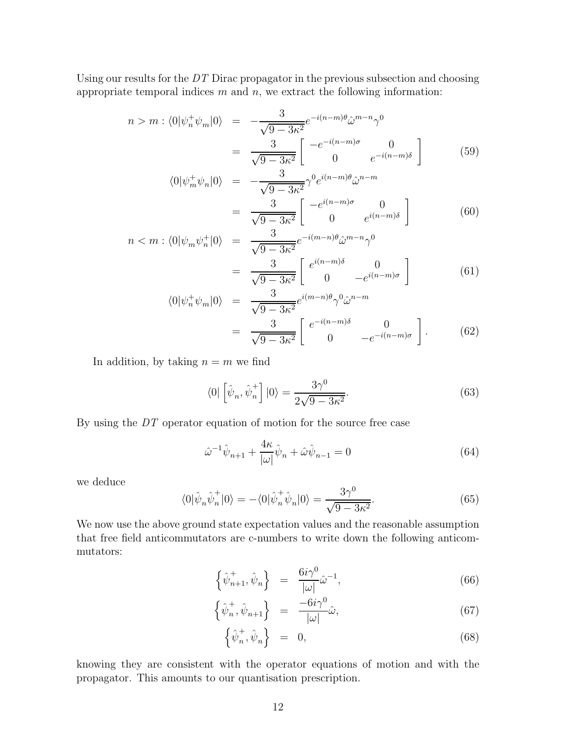<span id="page-11-0"></span>Using our results for the *DT* Dirac propagator in the previous subsection and choosing appropriate temporal indices  $m$  and  $n$ , we extract the following information:

$$
n > m : \langle 0 | \psi_n^+ \psi_m | 0 \rangle = -\frac{3}{\sqrt{9 - 3\kappa^2}} e^{-i(n-m)\theta} \hat{\omega}^{m-n} \gamma^0
$$

$$
= \frac{3}{\sqrt{9 - 3\kappa^2}} \left[ -e^{-i(n-m)\sigma} \begin{array}{cc} 0 \\ 0 \end{array} e^{-i(n-m)\delta} \right]
$$
(59)

$$
\langle 0 | \psi_m^+ \psi_n | 0 \rangle = -\frac{3}{\sqrt{9 - 3\kappa^2}} \gamma^0 e^{i(n-m)\theta} \hat{\omega}^{n-m}
$$

$$
= \frac{3}{\sqrt{9 - 3\kappa^2}} \left[ \begin{array}{cc} -e^{i(n-m)\sigma} & 0\\ 0 & e^{i(n-m)\delta} \end{array} \right] \tag{60}
$$

$$
n < m : \langle 0 | \psi_m \psi_n^+ | 0 \rangle = \frac{3}{\sqrt{9 - 3\kappa^2}} e^{-i(m-n)\theta} \hat{\omega}^{m-n} \gamma^0
$$
\n
$$
= \frac{3}{\sqrt{9 - 3\kappa^2}} \left[ \begin{array}{cc} e^{i(n-m)\delta} & 0\\ 0 & -e^{i(n-m)\sigma} \end{array} \right] \tag{61}
$$

$$
\langle 0 | \psi_n^+ \psi_m | 0 \rangle = \frac{3}{\sqrt{9 - 3\kappa^2}} e^{i(m-n)\theta} \gamma^0 \hat{\omega}^{n-m}
$$

$$
= \frac{3}{\sqrt{9 - 3\kappa^2}} \left[ e^{-i(n-m)\delta} \begin{array}{cc} 0 \\ 0 \end{array} - e^{-i(n-m)\sigma} \right]. \tag{62}
$$

In addition, by taking  $n = m$  we find

$$
\langle 0 | \left[ \hat{\psi}_n, \hat{\psi}_n^+ \right] | 0 \rangle = \frac{3\gamma^0}{2\sqrt{9 - 3\kappa^2}}.
$$
\n
$$
(63)
$$

By using the *DT* operator equation of motion for the source free case

$$
\hat{\omega}^{-1}\hat{\psi}_{n+1} + \frac{4\kappa}{|\omega|}\hat{\psi}_n + \hat{\omega}\hat{\psi}_{n-1} = 0
$$
\n(64)

we deduce

$$
\langle 0|\hat{\psi}_n\hat{\psi}_n^+|0\rangle = -\langle 0|\hat{\psi}_n^+\hat{\psi}_n|0\rangle = \frac{3\gamma^0}{\sqrt{9-3\kappa^2}}.\tag{65}
$$

We now use the above ground state expectation values and the reasonable assumption that free field anticommutators are c-numbers to write down the following anticommutators:

$$
\left\{\hat{\psi}_{n+1}^+, \hat{\psi}_n\right\} = \frac{6i\gamma^0}{|\omega|}\hat{\omega}^{-1},\tag{66}
$$

$$
\left\{\hat{\psi}_n^+, \hat{\psi}_{n+1}\right\} = \frac{-6i\gamma^0}{|\omega|}\hat{\omega},\tag{67}
$$

$$
\left\{\hat{\psi}_n^+, \hat{\psi}_n\right\} = 0,\tag{68}
$$

knowing they are consistent with the operator equations of motion and with the propagator. This amounts to our quantisation prescription.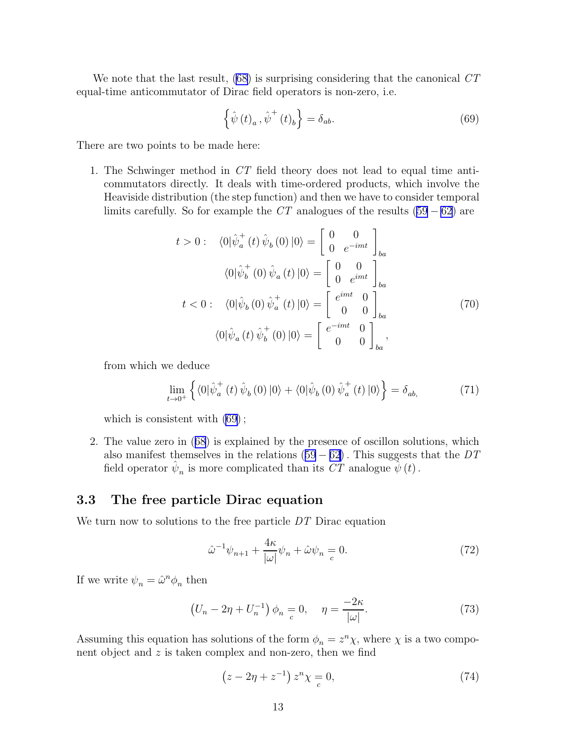<span id="page-12-0"></span>We note that the last result, [\(68\)](#page-11-0) is surprising considering that the canonical *CT* equal-time anticommutator of Dirac field operators is non-zero, i.e.

$$
\left\{\hat{\psi}\left(t\right)_a,\hat{\psi}^+\left(t\right)_b\right\}=\delta_{ab}.\tag{69}
$$

There are two points to be made here:

1. The Schwinger method in *CT* field theory does not lead to equal time anticommutators directly. It deals with time-ordered products, which involve the Heaviside distribution (the step function) and then we have to consider temporal limits carefully. So for example the  $CT$  analogues of the results  $(59 - 62)$  $(59 - 62)$  $(59 - 62)$  are

$$
t > 0: \langle 0|\hat{\psi}_a^+(t)\hat{\psi}_b(0)|0\rangle = \begin{bmatrix} 0 & 0\\ 0 & e^{-imt} \end{bmatrix}_{ba}
$$

$$
\langle 0|\hat{\psi}_b^+(0)\hat{\psi}_a(t)|0\rangle = \begin{bmatrix} 0 & 0\\ 0 & e^{imt} \end{bmatrix}_{ba}
$$

$$
t < 0: \langle 0|\hat{\psi}_b(0)\hat{\psi}_a^+(t)|0\rangle = \begin{bmatrix} e^{imt} & 0\\ 0 & 0 \end{bmatrix}_{ba}
$$

$$
\langle 0|\hat{\psi}_a(t)\hat{\psi}_b^+(0)|0\rangle = \begin{bmatrix} e^{-imt} & 0\\ 0 & 0 \end{bmatrix}_{ba}, \tag{70}
$$

from which we deduce

$$
\lim_{t \to 0^+} \left\{ \langle 0 | \hat{\psi}_a^+(t) \hat{\psi}_b(0) | 0 \rangle + \langle 0 | \hat{\psi}_b(0) \hat{\psi}_a^+(t) | 0 \rangle \right\} = \delta_{ab},\tag{71}
$$

which is consistent with  $(69)$ ;

2. The value zero in([68](#page-11-0)) is explained by the presence of oscillon solutions, which also manifest themselves in the relations([59](#page-11-0) − [62\)](#page-11-0). This suggests that the *DT* field operator  $\hat{\psi}_n$  is more complicated than its  $CT$  analogue  $\hat{\psi}(t)$ .

#### 3.3 The free particle Dirac equation

We turn now to solutions to the free particle *DT* Dirac equation

$$
\hat{\omega}^{-1}\psi_{n+1} + \frac{4\kappa}{|\omega|}\psi_n + \hat{\omega}\psi_n = 0.
$$
\n(72)

If we write  $\psi_n = \hat{\omega}^n \phi_n$  then

$$
\left(U_n - 2\eta + U_n^{-1}\right)\phi_n = 0, \quad \eta = \frac{-2\kappa}{|\omega|}.\tag{73}
$$

Assuming this equation has solutions of the form  $\phi_n = z^n \chi$ , where  $\chi$  is a two component object and z is taken complex and non-zero, then we find

$$
(z - 2\eta + z^{-1}) z^n \chi = 0,
$$
\n<sup>(74)</sup>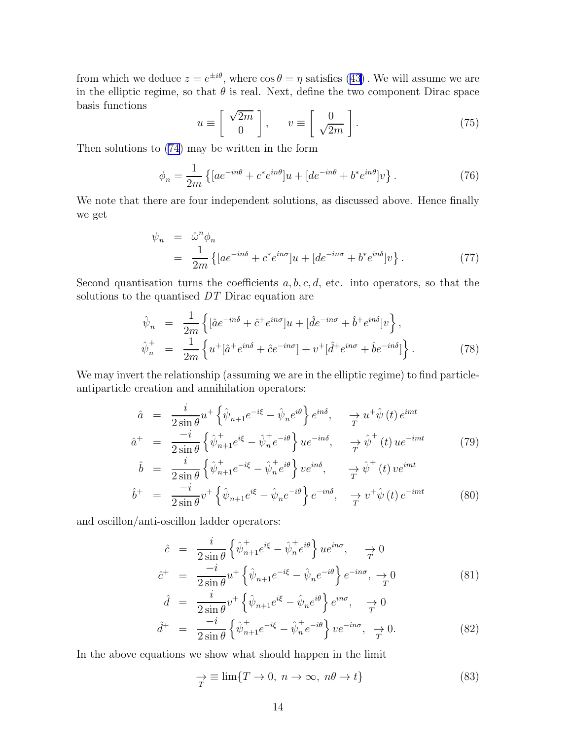fromwhich we deduce  $z = e^{\pm i\theta}$ , where  $\cos \theta = \eta$  satisfies ([43\)](#page-8-0). We will assume we are in the elliptic regime, so that  $\theta$  is real. Next, define the two component Dirac space basis functions

$$
u \equiv \left[ \begin{array}{c} \sqrt{2m} \\ 0 \end{array} \right], \qquad v \equiv \left[ \begin{array}{c} 0 \\ \sqrt{2m} \end{array} \right]. \tag{75}
$$

Then solutions to [\(74](#page-12-0)) may be written in the form

$$
\phi_n = \frac{1}{2m} \left\{ [ae^{-in\theta} + c^* e^{in\theta}]u + [de^{-in\theta} + b^* e^{in\theta}]v \right\}.
$$
 (76)

We note that there are four independent solutions, as discussed above. Hence finally we get

$$
\psi_n = \hat{\omega}^n \phi_n
$$
  
= 
$$
\frac{1}{2m} \{ [ae^{-in\delta} + c^* e^{in\sigma}]u + [de^{-in\sigma} + b^* e^{in\delta}]v \}.
$$
 (77)

Second quantisation turns the coefficients  $a, b, c, d$ , etc. into operators, so that the solutions to the quantised *DT* Dirac equation are

$$
\begin{split}\n\hat{\psi}_n &= \frac{1}{2m} \left\{ [\hat{a}e^{-in\delta} + \hat{c}^+e^{in\sigma}]u + [\hat{d}e^{-in\sigma} + \hat{b}^+e^{in\delta}]v \right\}, \\
\hat{\psi}_n^+ &= \frac{1}{2m} \left\{ u^+[\hat{a}^+e^{in\delta} + \hat{c}e^{-in\sigma}] + v^+[\hat{d}^+e^{in\sigma} + \hat{b}e^{-in\delta}] \right\}.\n\end{split} \tag{78}
$$

We may invert the relationship (assuming we are in the elliptic regime) to find particleantiparticle creation and annihilation operators:

$$
\hat{a} = \frac{i}{2\sin\theta} u^+ \left\{ \hat{\psi}_{n+1} e^{-i\xi} - \hat{\psi}_n e^{i\theta} \right\} e^{in\delta}, \quad \frac{\rightarrow}{T} u^+ \hat{\psi}(t) e^{imt}
$$
\n
$$
\hat{a}^+ = \frac{-i}{2\sin\theta} \left\{ \hat{\psi}_{n+1}^+ e^{i\xi} - \hat{\psi}_n^+ e^{-i\theta} \right\} u e^{-in\delta}, \quad \frac{\rightarrow}{T} \hat{\psi}^+(t) u e^{-imt}
$$
\n
$$
\hat{b} = \frac{i}{2\sin\theta} \left\{ \hat{\psi}_{n+1}^+ e^{-i\xi} - \hat{\psi}_n^+ e^{i\theta} \right\} v e^{in\delta}, \quad \frac{\rightarrow}{T} \hat{\psi}^+(t) v e^{imt}
$$
\n(79)

$$
\hat{b}^+ = \frac{-i}{2\sin\theta}v^+\left\{\hat{\psi}_{n+1}e^{i\xi} - \hat{\psi}_n e^{-i\theta}\right\}e^{-in\delta}, \quad \frac{\partial}{\partial t}v^+\hat{\psi}(t)e^{-imt}
$$
(80)

and oscillon/anti-oscillon ladder operators:

$$
\hat{c} = \frac{i}{2\sin\theta} \left\{ \hat{\psi}_{n+1}^{+} e^{i\xi} - \hat{\psi}_n^{+} e^{i\theta} \right\} u e^{in\sigma}, \quad \frac{\rightarrow}{T} 0
$$
\n
$$
\hat{c}^{+} = \frac{-i}{2\sin\theta} u^{+} \left\{ \hat{\psi}_{n+1} e^{-i\xi} - \hat{\psi}_n e^{-i\theta} \right\} e^{-in\sigma}, \quad \frac{\rightarrow}{T} 0
$$
\n(81)

$$
\begin{split}\n\hat{d} &= \frac{i}{2\sin\theta} v^+ \left\{ \hat{\psi}_{n+1} e^{i\xi} - \hat{\psi}_n e^{i\theta} \right\} e^{in\sigma}, \quad \frac{\rightarrow}{T} 0 \\
\hat{d}^+ &= \frac{-i}{2\sin\theta} \left\{ \hat{\psi}_{n+1}^+ e^{-i\xi} - \hat{\psi}_n^+ e^{-i\theta} \right\} v e^{-in\sigma}, \quad \frac{\rightarrow}{T} 0.\n\end{split} \tag{82}
$$

In the above equations we show what should happen in the limit

$$
\frac{1}{T} \equiv \lim \{ T \to 0, \ n \to \infty, \ n\theta \to t \}
$$
\n(83)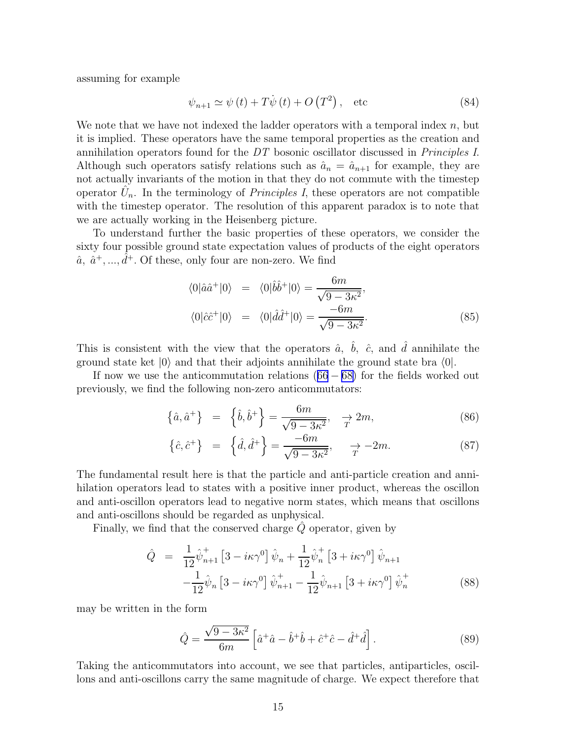assuming for example

$$
\psi_{n+1} \simeq \psi(t) + T\dot{\psi}(t) + O(T^2), \quad \text{etc}
$$
\n(84)

We note that we have not indexed the ladder operators with a temporal index  $n$ , but it is implied. These operators have the same temporal properties as the creation and annihilation operators found for the *DT* bosonic oscillator discussed in *Principles I*. Although such operators satisfy relations such as  $\hat{a}_n = \hat{a}_{n+1}$  for example, they are not actually invariants of the motion in that they do not commute with the timestep operator  $\hat{U}_n$ . In the terminology of *Principles I*, these operators are not compatible with the timestep operator. The resolution of this apparent paradox is to note that we are actually working in the Heisenberg picture.

To understand further the basic properties of these operators, we consider the sixty four possible ground state expectation values of products of the eight operators  $\hat{a}, \hat{a}^+, \dots, \hat{d}^+$ . Of these, only four are non-zero. We find

$$
\langle 0|\hat{a}\hat{a}^+|0\rangle = \langle 0|\hat{b}\hat{b}^+|0\rangle = \frac{6m}{\sqrt{9-3\kappa^2}},
$$
  

$$
\langle 0|\hat{c}\hat{c}^+|0\rangle = \langle 0|\hat{d}\hat{d}^+|0\rangle = \frac{-6m}{\sqrt{9-3\kappa^2}}.
$$
 (85)

This is consistent with the view that the operators  $\hat{a}$ ,  $\hat{b}$ ,  $\hat{c}$ , and  $\hat{d}$  annihilate the ground state ket  $|0\rangle$  and that their adjoints annihilate the ground state bra  $\langle 0|$ .

Ifnow we use the anticommutation relations  $(66 - 68)$  $(66 - 68)$  $(66 - 68)$  $(66 - 68)$  for the fields worked out previously, we find the following non-zero anticommutators:

$$
\left\{\hat{a}, \hat{a}^+\right\} = \left\{\hat{b}, \hat{b}^+\right\} = \frac{6m}{\sqrt{9-3\kappa^2}}, \quad \frac{\rightarrow}{T} 2m,\tag{86}
$$

$$
\left\{\hat{c}, \hat{c}^+\right\} = \left\{\hat{d}, \hat{d}^+\right\} = \frac{-6m}{\sqrt{9 - 3\kappa^2}}, \quad \to -2m. \tag{87}
$$

The fundamental result here is that the particle and anti-particle creation and annihilation operators lead to states with a positive inner product, whereas the oscillon and anti-oscillon operators lead to negative norm states, which means that oscillons and anti-oscillons should be regarded as unphysical.

Finally, we find that the conserved charge  $\hat{Q}$  operator, given by

$$
\hat{Q} = \frac{1}{12} \hat{\psi}_{n+1}^{\dagger} \left[ 3 - i\kappa \gamma^0 \right] \hat{\psi}_n + \frac{1}{12} \hat{\psi}_n^{\dagger} \left[ 3 + i\kappa \gamma^0 \right] \hat{\psi}_{n+1} - \frac{1}{12} \hat{\psi}_n \left[ 3 - i\kappa \gamma^0 \right] \hat{\psi}_{n+1}^{\dagger} - \frac{1}{12} \hat{\psi}_{n+1} \left[ 3 + i\kappa \gamma^0 \right] \hat{\psi}_n^{\dagger}
$$
\n(88)

may be written in the form

$$
\hat{Q} = \frac{\sqrt{9 - 3\kappa^2}}{6m} \left[ \hat{a}^+ \hat{a} - \hat{b}^+ \hat{b} + \hat{c}^+ \hat{c} - \hat{d}^+ \hat{d} \right]. \tag{89}
$$

Taking the anticommutators into account, we see that particles, antiparticles, oscillons and anti-oscillons carry the same magnitude of charge. We expect therefore that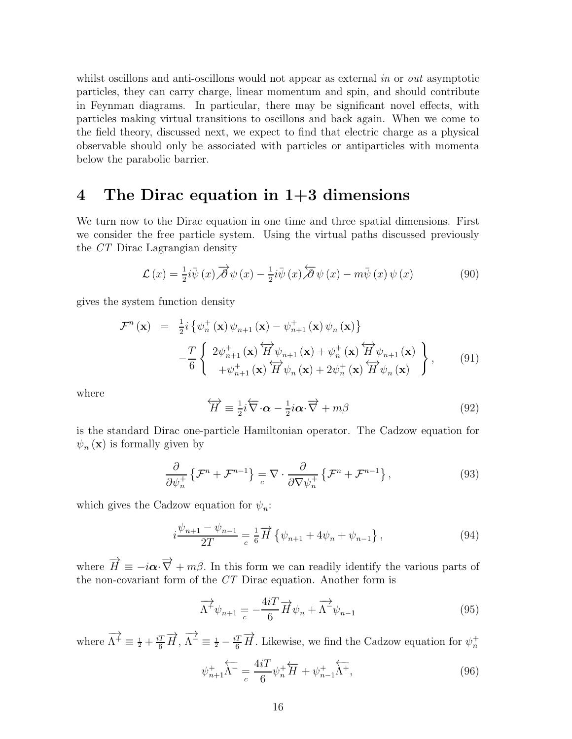<span id="page-15-0"></span>whilst oscillons and anti-oscillons would not appear as external *in* or *out* asymptotic particles, they can carry charge, linear momentum and spin, and should contribute in Feynman diagrams. In particular, there may be significant novel effects, with particles making virtual transitions to oscillons and back again. When we come to the field theory, discussed next, we expect to find that electric charge as a physical observable should only be associated with particles or antiparticles with momenta below the parabolic barrier.

### 4 The Dirac equation in 1+3 dimensions

We turn now to the Dirac equation in one time and three spatial dimensions. First we consider the free particle system. Using the virtual paths discussed previously the *CT* Dirac Lagrangian density

$$
\mathcal{L}(x) = \frac{1}{2}i\bar{\psi}(x)\overrightarrow{\mathcal{B}}\psi(x) - \frac{1}{2}i\bar{\psi}(x)\overleftarrow{\mathcal{B}}\psi(x) - m\bar{\psi}(x)\psi(x)
$$
(90)

gives the system function density

$$
\mathcal{F}^{n}(\mathbf{x}) = \frac{1}{2}i \left\{ \psi_{n}^{+}(\mathbf{x}) \psi_{n+1}(\mathbf{x}) - \psi_{n+1}^{+}(\mathbf{x}) \psi_{n}(\mathbf{x}) \right\} \n- \frac{T}{6} \left\{ 2\psi_{n+1}^{+}(\mathbf{x}) \overleftrightarrow{H} \psi_{n+1}(\mathbf{x}) + \psi_{n}^{+}(\mathbf{x}) \overleftrightarrow{H} \psi_{n+1}(\mathbf{x}) \right\}, \qquad (91)
$$

where

$$
\overleftrightarrow{H} \equiv \frac{1}{2} i \overleftrightarrow{\nabla} \cdot \boldsymbol{\alpha} - \frac{1}{2} i \boldsymbol{\alpha} \cdot \overrightarrow{\nabla} + m \beta \tag{92}
$$

is the standard Dirac one-particle Hamiltonian operator. The Cadzow equation for  $\psi_n(\mathbf{x})$  is formally given by

$$
\frac{\partial}{\partial \psi_n^+} \left\{ \mathcal{F}^n + \mathcal{F}^{n-1} \right\} = \nabla \cdot \frac{\partial}{\partial \nabla \psi_n^+} \left\{ \mathcal{F}^n + \mathcal{F}^{n-1} \right\},\tag{93}
$$

which gives the Cadzow equation for  $\psi_n$ :

$$
i\frac{\psi_{n+1} - \psi_{n-1}}{2T} = \frac{1}{6}\overrightarrow{H} \left\{ \psi_{n+1} + 4\psi_n + \psi_{n-1} \right\},\tag{94}
$$

where  $\vec{H} \equiv -i\alpha \cdot \vec{\nabla} + m\beta$ . In this form we can readily identify the various parts of the non-covariant form of the *CT* Dirac equation. Another form is

$$
\overrightarrow{\Lambda^+}\psi_{n+1} = -\frac{4iT}{6}\overrightarrow{H}\psi_n + \overrightarrow{\Lambda^+}\psi_{n-1}
$$
\n(95)

where  $\overrightarrow{\Lambda^+} \equiv \frac{1}{2} + \frac{iT}{6}$  $\frac{T}{6}\overrightarrow{H}, \overrightarrow{\Lambda}^2 \equiv \frac{1}{2} - \frac{iT}{6}$  $\frac{T}{6}\overrightarrow{H}$ . Likewise, we find the Cadzow equation for  $\psi_n^+$ n

$$
\psi_{n+1}^+ \overleftarrow{\Lambda^-} = \frac{4iT}{6} \psi_n^+ \overleftarrow{H} + \psi_{n-1}^+ \overleftarrow{\Lambda^+}, \tag{96}
$$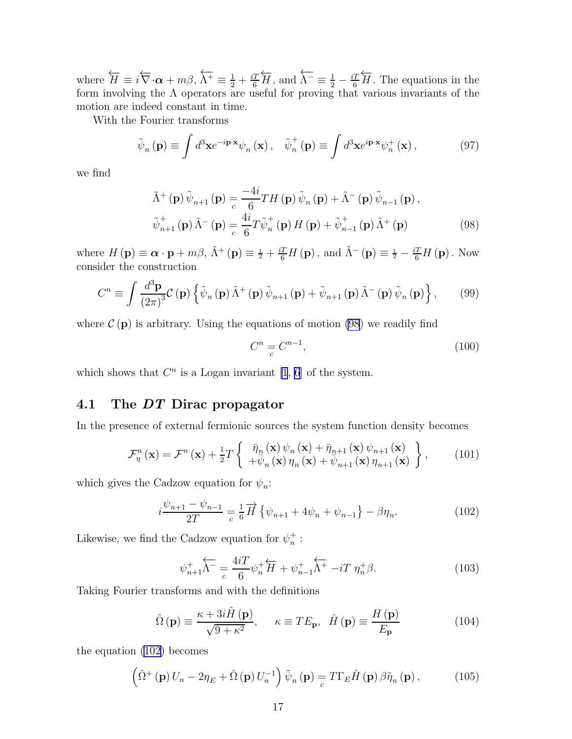<span id="page-16-0"></span>where  $\overleftarrow{H} \equiv i \overleftarrow{\nabla} \cdot \boldsymbol{\alpha} + m \beta, \overleftarrow{\Lambda^+} \equiv \frac{1}{2} + \frac{iT}{6}$  $\frac{T}{6}\overleftarrow{H}$ , and  $\overleftarrow{\Lambda^{-}} \equiv \frac{1}{2} - \frac{iT}{6}$  $\frac{T}{6}\overleftarrow{H}$ . The equations in the form involving the Λ operators are useful for proving that various invariants of the motion are indeed constant in time.

With the Fourier transforms

$$
\tilde{\psi}_n(\mathbf{p}) \equiv \int d^3 \mathbf{x} e^{-i \mathbf{p} \cdot \mathbf{x}} \psi_n(\mathbf{x}), \quad \tilde{\psi}_n^+(\mathbf{p}) \equiv \int d^3 \mathbf{x} e^{i \mathbf{p} \cdot \mathbf{x}} \psi_n^+(\mathbf{x}), \tag{97}
$$

we find

$$
\tilde{\Lambda}^{+}\left(\mathbf{p}\right)\tilde{\psi}_{n+1}\left(\mathbf{p}\right) = \frac{-4i}{6}TH\left(\mathbf{p}\right)\tilde{\psi}_{n}\left(\mathbf{p}\right) + \tilde{\Lambda}^{-}\left(\mathbf{p}\right)\tilde{\psi}_{n-1}\left(\mathbf{p}\right),
$$
\n
$$
\tilde{\psi}_{n+1}^{+}\left(\mathbf{p}\right)\tilde{\Lambda}^{-}\left(\mathbf{p}\right) = \frac{4i}{6}T\tilde{\psi}_{n}^{+}\left(\mathbf{p}\right)H\left(\mathbf{p}\right) + \tilde{\psi}_{n-1}^{+}\left(\mathbf{p}\right)\tilde{\Lambda}^{+}\left(\mathbf{p}\right) \tag{98}
$$

where  $H(\mathbf{p}) \equiv \boldsymbol{\alpha} \cdot \mathbf{p} + m\beta$ ,  $\tilde{\Lambda}^+(\mathbf{p}) \equiv \frac{1}{2} + \frac{iT}{6}H(\mathbf{p})$ , and  $\tilde{\Lambda}^-(\mathbf{p}) \equiv \frac{1}{2} - \frac{iT}{6}H(\mathbf{p})$ . Now consider the construction

$$
C^{n} \equiv \int \frac{d^{3} \mathbf{p}}{(2\pi)^{3}} \mathcal{C}(\mathbf{p}) \left\{ \tilde{\psi}_{n} \left( \mathbf{p} \right) \tilde{\Lambda}^{+} \left( \mathbf{p} \right) \tilde{\psi}_{n+1} \left( \mathbf{p} \right) + \tilde{\psi}_{n+1} \left( \mathbf{p} \right) \tilde{\Lambda}^{-} \left( \mathbf{p} \right) \tilde{\psi}_{n} \left( \mathbf{p} \right) \right\}, \qquad (99)
$$

where  $\mathcal{C}(\mathbf{p})$  is arbitrary. Using the equations of motion (98) we readily find

$$
C^n \underset{c}{=} C^{n-1},\tag{100}
$$

which shows that  $C<sup>n</sup>$  is a Logan invariant [\[1](#page-26-0), [6](#page-26-0)] of the system.

### 4.1 The DT Dirac propagator

In the presence of external fermionic sources the system function density becomes

$$
\mathcal{F}_{\eta}^{n}\left(\mathbf{x}\right) = \mathcal{F}^{n}\left(\mathbf{x}\right) + \frac{1}{2}T \left\{ \begin{array}{c} \bar{\eta}_{n}\left(\mathbf{x}\right)\psi_{n}\left(\mathbf{x}\right) + \bar{\eta}_{n+1}\left(\mathbf{x}\right)\psi_{n+1}\left(\mathbf{x}\right) \\ + \bar{\psi}_{n}\left(\mathbf{x}\right)\eta_{n}\left(\mathbf{x}\right) + \bar{\psi}_{n+1}\left(\mathbf{x}\right)\eta_{n+1}\left(\mathbf{x}\right) \end{array} \right\},\tag{101}
$$

which gives the Cadzow equation for  $\psi_n$ :

$$
i\frac{\psi_{n+1} - \psi_{n-1}}{2T} = \frac{1}{6}\overrightarrow{H} \left\{ \psi_{n+1} + 4\psi_n + \psi_{n-1} \right\} - \beta \eta_n. \tag{102}
$$

Likewise, we find the Cadzow equation for  $\psi_n^+$  $^+_n$  :

$$
\psi_{n+1}^+ \overleftarrow{\Lambda^-} = \frac{4iT}{6} \psi_n^+ \overleftarrow{H} + \psi_{n-1}^+ \overleftarrow{\Lambda^+} - iT \eta_n^+ \beta. \tag{103}
$$

Taking Fourier transforms and with the definitions

$$
\hat{\Omega}(\mathbf{p}) \equiv \frac{\kappa + 3i\hat{H}(\mathbf{p})}{\sqrt{9 + \kappa^2}}, \quad \kappa \equiv TE_{\mathbf{p}}, \quad \hat{H}(\mathbf{p}) \equiv \frac{H(\mathbf{p})}{E_{\mathbf{p}}} \tag{104}
$$

the equation (102) becomes

$$
\left(\hat{\Omega}^+\left(\mathbf{p}\right)U_n - 2\eta_E + \hat{\Omega}\left(\mathbf{p}\right)U_n^{-1}\right)\tilde{\psi}_n\left(\mathbf{p}\right) = T\Gamma_E\hat{H}\left(\mathbf{p}\right)\beta\tilde{\eta}_n\left(\mathbf{p}\right),\tag{105}
$$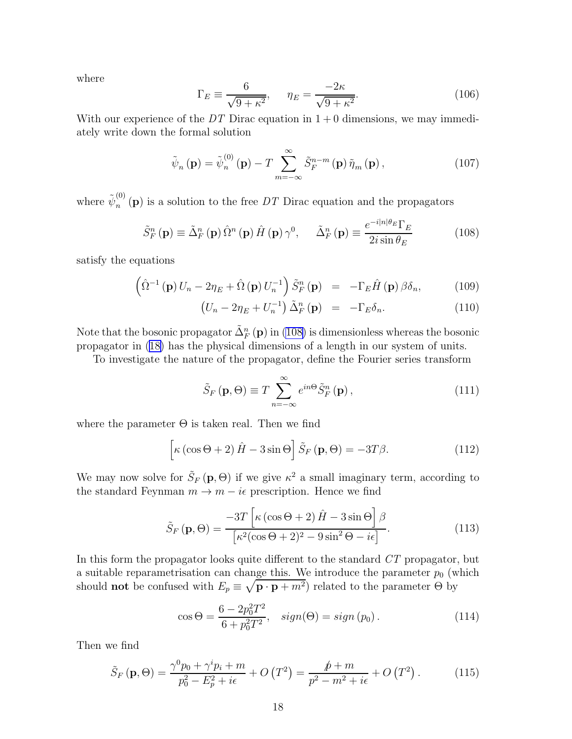<span id="page-17-0"></span>where

$$
\Gamma_E \equiv \frac{6}{\sqrt{9 + \kappa^2}}, \qquad \eta_E = \frac{-2\kappa}{\sqrt{9 + \kappa^2}}.\tag{106}
$$

With our experience of the  $DT$  Dirac equation in  $1+0$  dimensions, we may immediately write down the formal solution

$$
\tilde{\psi}_{n}(\mathbf{p}) = \tilde{\psi}_{n}^{(0)}(\mathbf{p}) - T \sum_{m=-\infty}^{\infty} \tilde{S}_{F}^{n-m}(\mathbf{p}) \tilde{\eta}_{m}(\mathbf{p}), \qquad (107)
$$

where  $\tilde{\psi}_n^{(0)}$  $n^{(0)}_n(\mathbf{p})$  is a solution to the free DT Dirac equation and the propagators

$$
\tilde{S}_{F}^{n}(\mathbf{p}) \equiv \tilde{\Delta}_{F}^{n}(\mathbf{p}) \,\hat{\Omega}^{n}(\mathbf{p}) \,\hat{H}(\mathbf{p}) \,\gamma^{0}, \quad \tilde{\Delta}_{F}^{n}(\mathbf{p}) \equiv \frac{e^{-i|n|\theta_{E}}\Gamma_{E}}{2i\sin\theta_{E}} \tag{108}
$$

satisfy the equations

$$
\left(\hat{\Omega}^{-1}\left(\mathbf{p}\right)U_{n}-2\eta_{E}+\hat{\Omega}\left(\mathbf{p}\right)U_{n}^{-1}\right)\tilde{S}_{F}^{n}\left(\mathbf{p}\right) = -\Gamma_{E}\hat{H}\left(\mathbf{p}\right)\beta\delta_{n},\qquad(109)
$$

$$
\left(U_n - 2\eta_E + U_n^{-1}\right)\tilde{\Delta}_F^n\left(\mathbf{p}\right) = -\Gamma_E\delta_n. \tag{110}
$$

Note that the bosonic propagator  $\tilde{\Delta}_F^n\left(\mathbf{p}\right)$  in (108) is dimensionless whereas the bosonic propagator in([18\)](#page-5-0) has the physical dimensions of a length in our system of units.

To investigate the nature of the propagator, define the Fourier series transform

$$
\tilde{S}_F(\mathbf{p}, \Theta) \equiv T \sum_{n=-\infty}^{\infty} e^{in\Theta} \tilde{S}_F^n(\mathbf{p}), \qquad (111)
$$

where the parameter  $\Theta$  is taken real. Then we find

$$
\left[\kappa\left(\cos\Theta+2\right)\hat{H}-3\sin\Theta\right]\tilde{S}_F\left(\mathbf{p},\Theta\right)=-3T\beta.\tag{112}
$$

We may now solve for  $\tilde{S}_F(\mathbf{p},\Theta)$  if we give  $\kappa^2$  a small imaginary term, according to the standard Feynman  $m \to m - i\epsilon$  prescription. Hence we find

$$
\tilde{S}_F(\mathbf{p}, \Theta) = \frac{-3T \left[ \kappa \left( \cos \Theta + 2 \right) \hat{H} - 3 \sin \Theta \right] \beta}{\left[ \kappa^2 (\cos \Theta + 2)^2 - 9 \sin^2 \Theta - i\epsilon \right]}.
$$
(113)

In this form the propagator looks quite different to the standard *CT* propagator, but a suitable reparametrisation can change this. We introduce the parameter  $p_0$  (which should **not** be confused with  $E_p \equiv \sqrt{\mathbf{p} \cdot \mathbf{p} + m^2}$  related to the parameter  $\Theta$  by

$$
\cos \Theta = \frac{6 - 2p_0^2 T^2}{6 + p_0^2 T^2}, \quad sign(\Theta) = sign(p_0).
$$
 (114)

Then we find

$$
\tilde{S}_F(\mathbf{p}, \Theta) = \frac{\gamma^0 p_0 + \gamma^i p_i + m}{p_0^2 - E_p^2 + i\epsilon} + O(T^2) = \frac{\cancel{p} + m}{p^2 - m^2 + i\epsilon} + O(T^2).
$$
 (115)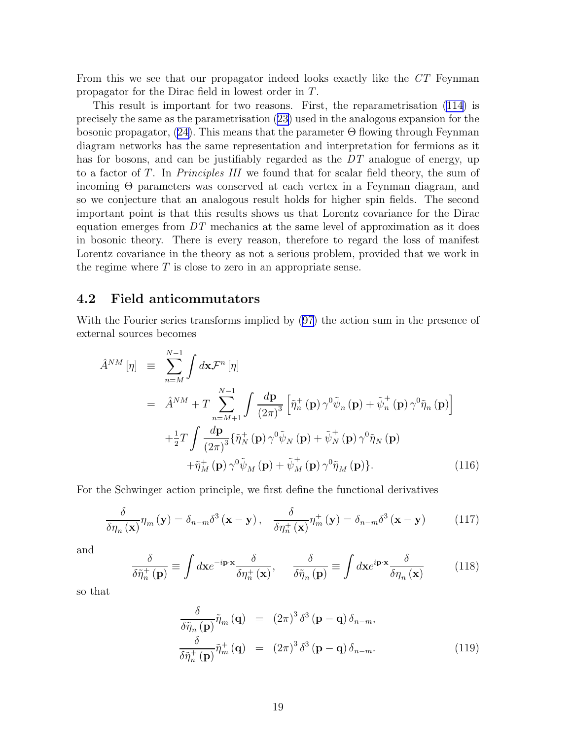From this we see that our propagator indeed looks exactly like the *CT* Feynman propagator for the Dirac field in lowest order in T.

This result is important for two reasons. First, the reparametrisation [\(114\)](#page-17-0) is precisely the same as the parametrisation([23\)](#page-5-0) used in the analogous expansion for the bosonic propagator,  $(24)$ . This means that the parameter  $\Theta$  flowing through Feynman diagram networks has the same representation and interpretation for fermions as it has for bosons, and can be justifiably regarded as the *DT* analogue of energy, up to a factor of T. In *Principles III* we found that for scalar field theory, the sum of incoming Θ parameters was conserved at each vertex in a Feynman diagram, and so we conjecture that an analogous result holds for higher spin fields. The second important point is that this results shows us that Lorentz covariance for the Dirac equation emerges from *DT* mechanics at the same level of approximation as it does in bosonic theory. There is every reason, therefore to regard the loss of manifest Lorentz covariance in the theory as not a serious problem, provided that we work in the regime where  $T$  is close to zero in an appropriate sense.

#### 4.2 Field anticommutators

With the Fourier series transforms implied by([97\)](#page-16-0) the action sum in the presence of external sources becomes

$$
\hat{A}^{NM} \left[ \eta \right] = \sum_{n=M}^{N-1} \int d\mathbf{x} \mathcal{F}^n \left[ \eta \right]
$$
\n
$$
= \hat{A}^{NM} + T \sum_{n=M+1}^{N-1} \int \frac{d\mathbf{p}}{(2\pi)^3} \left[ \tilde{\eta}_n^+ (\mathbf{p}) \gamma^0 \tilde{\psi}_n (\mathbf{p}) + \tilde{\psi}_n^+ (\mathbf{p}) \gamma^0 \tilde{\eta}_n (\mathbf{p}) \right]
$$
\n
$$
+ \frac{1}{2} T \int \frac{d\mathbf{p}}{(2\pi)^3} \{ \tilde{\eta}_N^+ (\mathbf{p}) \gamma^0 \tilde{\psi}_N (\mathbf{p}) + \tilde{\psi}_N^+ (\mathbf{p}) \gamma^0 \tilde{\eta}_N (\mathbf{p})
$$
\n
$$
+ \tilde{\eta}_M^+ (\mathbf{p}) \gamma^0 \tilde{\psi}_M (\mathbf{p}) + \tilde{\psi}_M^+ (\mathbf{p}) \gamma^0 \tilde{\eta}_M (\mathbf{p}) \}.
$$
\n(116)

For the Schwinger action principle, we first define the functional derivatives

$$
\frac{\delta}{\delta \eta_n(\mathbf{x})} \eta_m(\mathbf{y}) = \delta_{n-m} \delta^3(\mathbf{x} - \mathbf{y}), \quad \frac{\delta}{\delta \eta_n^+(\mathbf{x})} \eta_m^+(\mathbf{y}) = \delta_{n-m} \delta^3(\mathbf{x} - \mathbf{y}) \tag{117}
$$

and

$$
\frac{\delta}{\delta \tilde{\eta}_n^+(\mathbf{p})} \equiv \int d\mathbf{x} e^{-i\mathbf{p}\cdot\mathbf{x}} \frac{\delta}{\delta \eta_n^+(\mathbf{x})}, \quad \frac{\delta}{\delta \tilde{\eta}_n(\mathbf{p})} \equiv \int d\mathbf{x} e^{i\mathbf{p}\cdot\mathbf{x}} \frac{\delta}{\delta \eta_n(\mathbf{x})}
$$
(118)

so that

$$
\frac{\delta}{\delta \tilde{\eta}_n(\mathbf{p})} \tilde{\eta}_m(\mathbf{q}) = (2\pi)^3 \delta^3 (\mathbf{p} - \mathbf{q}) \delta_{n-m},
$$
\n
$$
\frac{\delta}{\delta \tilde{\eta}_n^+(\mathbf{p})} \tilde{\eta}_m^+(\mathbf{q}) = (2\pi)^3 \delta^3 (\mathbf{p} - \mathbf{q}) \delta_{n-m}.
$$
\n(119)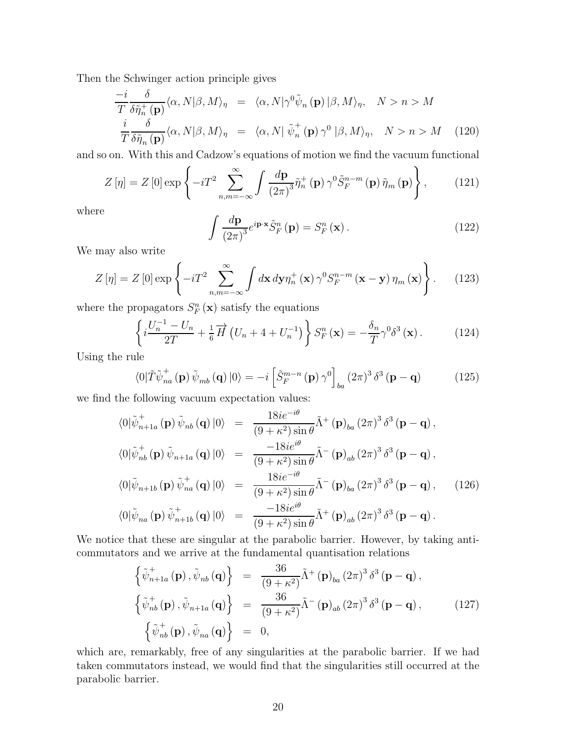<span id="page-19-0"></span>Then the Schwinger action principle gives

$$
\frac{-i}{T} \frac{\delta}{\delta \tilde{\eta}_n^+(\mathbf{p})} \langle \alpha, N | \beta, M \rangle_{\eta} = \langle \alpha, N | \gamma^0 \tilde{\psi}_n(\mathbf{p}) | \beta, M \rangle_{\eta}, \quad N > n > M
$$
  

$$
\frac{i}{T} \frac{\delta}{\delta \tilde{\eta}_n(\mathbf{p})} \langle \alpha, N | \beta, M \rangle_{\eta} = \langle \alpha, N | \tilde{\psi}_n^+(\mathbf{p}) \gamma^0 | \beta, M \rangle_{\eta}, \quad N > n > M \quad (120)
$$

and so on. With this and Cadzow's equations of motion we find the vacuum functional

$$
Z\left[\eta\right] = Z\left[0\right] \exp\left\{-i T^2 \sum_{n,m=-\infty}^{\infty} \int \frac{d\mathbf{p}}{\left(2\pi\right)^3} \tilde{\eta}_n^+\left(\mathbf{p}\right) \gamma^0 \tilde{S}_F^{n-m}\left(\mathbf{p}\right) \tilde{\eta}_m\left(\mathbf{p}\right)\right\},\qquad(121)
$$

where

$$
\int \frac{d\mathbf{p}}{(2\pi)^3} e^{i\mathbf{p}\cdot\mathbf{x}} \tilde{S}_F^n(\mathbf{p}) = S_F^n(\mathbf{x}).
$$
\n(122)

We may also write

$$
Z\left[\eta\right] = Z\left[0\right] \exp\left\{-i T^2 \sum_{n,m=-\infty}^{\infty} \int d\mathbf{x} \, d\mathbf{y} \eta_n^+\left(\mathbf{x}\right) \gamma^0 S_F^{n-m}\left(\mathbf{x}-\mathbf{y}\right) \eta_m\left(\mathbf{x}\right)\right\}.
$$
 (123)

where the propagators  $S_F^n(\mathbf{x})$  satisfy the equations

$$
\left\{i\frac{U_n^{-1} - U_n}{2T} + \frac{1}{6}\overrightarrow{H}\left(U_n + 4 + U_n^{-1}\right)\right\} S_F^n\left(\mathbf{x}\right) = -\frac{\delta_n}{T}\gamma^0\delta^3\left(\mathbf{x}\right). \tag{124}
$$

Using the rule

$$
\langle 0|\tilde{T}\tilde{\psi}_{na}^{+}\left(\mathbf{p}\right)\tilde{\psi}_{mb}\left(\mathbf{q}\right)|0\rangle = -i\left[\tilde{S}_{F}^{m-n}\left(\mathbf{p}\right)\gamma^{0}\right]_{ba}(2\pi)^{3}\delta^{3}\left(\mathbf{p}-\mathbf{q}\right)
$$
(125)

we find the following vacuum expectation values:

$$
\langle 0|\tilde{\psi}_{n+1a}^{+}(\mathbf{p})\tilde{\psi}_{nb}(\mathbf{q})|0\rangle = \frac{18ie^{-i\theta}}{(9+\kappa^{2})\sin\theta}\tilde{\Lambda}^{+}(\mathbf{p})_{ba}(2\pi)^{3}\delta^{3}(\mathbf{p}-\mathbf{q}),
$$
  

$$
\langle 0|\tilde{\psi}_{nb}^{+}(\mathbf{p})\tilde{\psi}_{n+1a}(\mathbf{q})|0\rangle = \frac{-18ie^{i\theta}}{(9+\kappa^{2})\sin\theta}\tilde{\Lambda}^{-}(\mathbf{p})_{ab}(2\pi)^{3}\delta^{3}(\mathbf{p}-\mathbf{q}),
$$
  

$$
\langle 0|\tilde{\psi}_{n+1b}(\mathbf{p})\tilde{\psi}_{na}^{+}(\mathbf{q})|0\rangle = \frac{18ie^{-i\theta}}{(9+\kappa^{2})\sin\theta}\tilde{\Lambda}^{-}(\mathbf{p})_{ba}(2\pi)^{3}\delta^{3}(\mathbf{p}-\mathbf{q}), \qquad (126)
$$
  

$$
\langle 0|\tilde{\psi}_{na}(\mathbf{p})\tilde{\psi}_{n+1b}^{+}(\mathbf{q})|0\rangle = \frac{-18ie^{i\theta}}{(9+\kappa^{2})\sin\theta}\tilde{\Lambda}^{+}(\mathbf{p})_{ab}(2\pi)^{3}\delta^{3}(\mathbf{p}-\mathbf{q}).
$$

We notice that these are singular at the parabolic barrier. However, by taking anticommutators and we arrive at the fundamental quantisation relations

$$
\begin{aligned}\n\left\{\tilde{\psi}_{n+1a}^{+}\left(\mathbf{p}\right),\tilde{\psi}_{nb}\left(\mathbf{q}\right)\right\} &= \frac{36}{\left(9+\kappa^{2}\right)}\tilde{\Lambda}^{+}\left(\mathbf{p}\right)_{ba}\left(2\pi\right)^{3}\delta^{3}\left(\mathbf{p}-\mathbf{q}\right), \\
\left\{\tilde{\psi}_{nb}^{+}\left(\mathbf{p}\right),\tilde{\psi}_{n+1a}\left(\mathbf{q}\right)\right\} &= \frac{36}{\left(9+\kappa^{2}\right)}\tilde{\Lambda}^{-}\left(\mathbf{p}\right)_{ab}\left(2\pi\right)^{3}\delta^{3}\left(\mathbf{p}-\mathbf{q}\right),\n\end{aligned} \tag{127}
$$
\n
$$
\begin{aligned}\n\left\{\tilde{\psi}_{nb}^{+}\left(\mathbf{p}\right),\tilde{\psi}_{na}\left(\mathbf{q}\right)\right\} &= 0,\n\end{aligned}
$$

which are, remarkably, free of any singularities at the parabolic barrier. If we had taken commutators instead, we would find that the singularities still occurred at the parabolic barrier.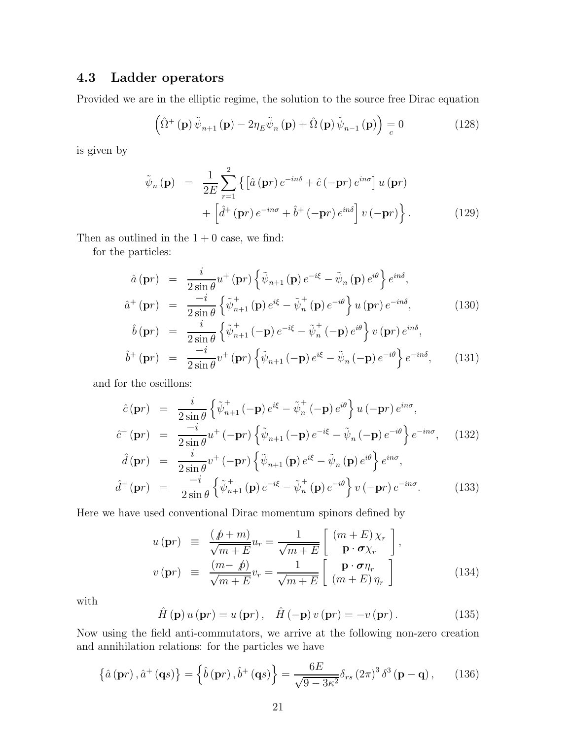### 4.3 Ladder operators

Provided we are in the elliptic regime, the solution to the source free Dirac equation

$$
\left(\hat{\Omega}^+\left(\mathbf{p}\right)\tilde{\psi}_{n+1}\left(\mathbf{p}\right) - 2\eta_E\tilde{\psi}_n\left(\mathbf{p}\right) + \hat{\Omega}\left(\mathbf{p}\right)\tilde{\psi}_{n-1}\left(\mathbf{p}\right)\right) = 0\tag{128}
$$

is given by

$$
\tilde{\psi}_n(\mathbf{p}) = \frac{1}{2E} \sum_{r=1}^2 \left\{ \left[ \hat{a}(\mathbf{p}r) e^{-in\delta} + \hat{c}(-\mathbf{p}r) e^{in\sigma} \right] u(\mathbf{p}r) + \left[ \hat{d}^+(\mathbf{p}r) e^{-in\sigma} + \hat{b}^+(-\mathbf{p}r) e^{in\delta} \right] v(-\mathbf{p}r) \right\}.
$$
\n(129)

Then as outlined in the  $1 + 0$  case, we find:

for the particles:

$$
\hat{a}(\mathbf{p}r) = \frac{i}{2\sin\theta}u^{+}(\mathbf{p}r)\left\{\tilde{\psi}_{n+1}(\mathbf{p})e^{-i\xi} - \tilde{\psi}_{n}(\mathbf{p})e^{i\theta}\right\}e^{in\delta},
$$
\n
$$
\hat{a}^{+}(\mathbf{p}r) = \frac{-i}{2\sin\theta}\left\{\tilde{\psi}_{n+1}^{+}(\mathbf{p})e^{i\xi} - \tilde{\psi}_{n}^{+}(\mathbf{p})e^{-i\theta}\right\}u(\mathbf{p}r)e^{-in\delta},
$$
\n
$$
\hat{b}(\mathbf{p}r) = \frac{i}{2\sin\theta}\left\{\tilde{\psi}_{n+1}^{+}(-\mathbf{p})e^{-i\xi} - \tilde{\psi}_{n}^{+}(-\mathbf{p})e^{i\theta}\right\}v(\mathbf{p}r)e^{in\delta},
$$
\n
$$
\hat{b}^{+}(\mathbf{p}r) = \frac{-i}{2\sin\theta}v^{+}(\mathbf{p}r)\left\{\tilde{\psi}_{n+1}(-\mathbf{p})e^{i\xi} - \tilde{\psi}_{n}(-\mathbf{p})e^{-i\theta}\right\}e^{-in\delta},
$$
\n(131)

and for the oscillons:

$$
\hat{c}(\mathbf{p}r) = \frac{i}{2\sin\theta} \left\{ \tilde{\psi}_{n+1}^+ (-\mathbf{p}) e^{i\xi} - \tilde{\psi}_n^+ (-\mathbf{p}) e^{i\theta} \right\} u \left( -\mathbf{p}r \right) e^{in\sigma},
$$
\n
$$
\hat{c}^+ (\mathbf{p}r) = \frac{-i}{2\sin\theta} u^+ (-\mathbf{p}r) \left\{ \tilde{\psi}_{n+1} (-\mathbf{p}) e^{-i\xi} - \tilde{\psi}_n (-\mathbf{p}) e^{-i\theta} \right\} e^{-in\sigma}, \quad (132)
$$
\n
$$
\hat{d}(\mathbf{p}r) = \frac{i}{2\sin\theta} v^+ (-\mathbf{p}r) \left\{ \tilde{\psi}_{n+1} (\mathbf{p}) e^{i\xi} - \tilde{\psi}_n (\mathbf{p}) e^{i\theta} \right\} e^{in\sigma},
$$
\n
$$
\hat{d}^+ (\mathbf{p}r) = \frac{-i}{2\sin\theta} \left\{ \tilde{\psi}_{n+1}^+ (\mathbf{p}) e^{-i\xi} - \tilde{\psi}_n^+ (\mathbf{p}) e^{-i\theta} \right\} v \left( -\mathbf{p}r \right) e^{-in\sigma}. \quad (133)
$$

Here we have used conventional Dirac momentum spinors defined by

$$
u\left(\mathbf{p}r\right) \equiv \frac{\left(\rlap{/}p + m\right)}{\sqrt{m+E}} u_r = \frac{1}{\sqrt{m+E}} \left[\begin{array}{c} \left(m+E\right)\chi_r\\ \mathbf{p}\cdot\boldsymbol{\sigma}\chi_r \end{array}\right],
$$
\n
$$
v\left(\mathbf{p}r\right) \equiv \frac{\left(m-\rlap{/}p\right)}{\sqrt{m+E}} v_r = \frac{1}{\sqrt{m+E}} \left[\begin{array}{c} \mathbf{p}\cdot\boldsymbol{\sigma}\eta_r\\ \left(m+E\right)\eta_r \end{array}\right] \tag{134}
$$

with

$$
\hat{H}(\mathbf{p})u(\mathbf{p}r) = u(\mathbf{p}r), \quad \hat{H}(-\mathbf{p})v(\mathbf{p}r) = -v(\mathbf{p}r).
$$
 (135)

Now using the field anti-commutators, we arrive at the following non-zero creation and annihilation relations: for the particles we have

$$
\left\{\hat{a}\left(\mathbf{p}r\right),\hat{a}^+\left(\mathbf{q}s\right)\right\} = \left\{\hat{b}\left(\mathbf{p}r\right),\hat{b}^+\left(\mathbf{q}s\right)\right\} = \frac{6E}{\sqrt{9-3\kappa^2}}\delta_{rs}\left(2\pi\right)^3\delta^3\left(\mathbf{p}-\mathbf{q}\right),\tag{136}
$$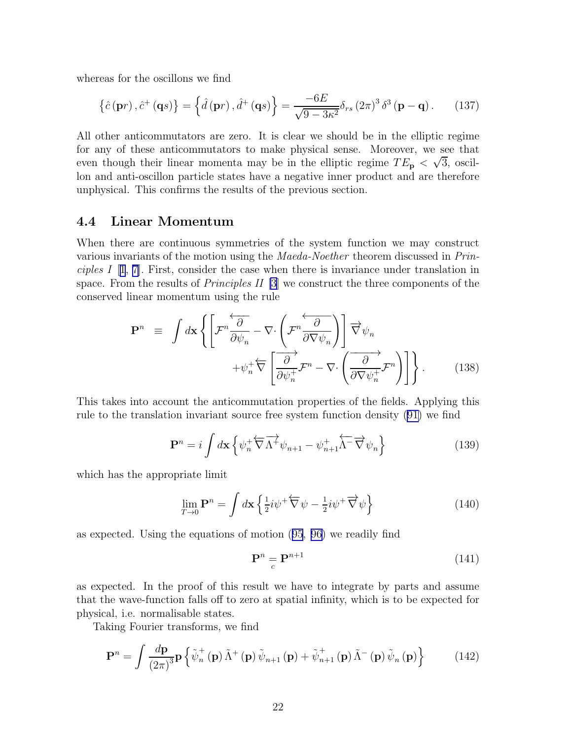whereas for the oscillons we find

$$
\left\{\hat{c}\left(\mathbf{p}r\right),\hat{c}^+\left(\mathbf{q}s\right)\right\} = \left\{\hat{d}\left(\mathbf{p}r\right),\hat{d}^+\left(\mathbf{q}s\right)\right\} = \frac{-6E}{\sqrt{9-3\kappa^2}}\delta_{rs}\left(2\pi\right)^3\delta^3\left(\mathbf{p}-\mathbf{q}\right). \tag{137}
$$

All other anticommutators are zero. It is clear we should be in the elliptic regime for any of these anticommutators to make physical sense. Moreover, we see that even though their linear momenta may be in the elliptic regime  $TE_p < \sqrt{3}$ , oscillon and anti-oscillon particle states have a negative inner product and are therefore unphysical. This confirms the results of the previous section.

#### 4.4 Linear Momentum

When there are continuous symmetries of the system function we may construct various invariants of the motion using the *Maeda-Noether* theorem discussed in *Principles I* [[1](#page-26-0), [7\]](#page-26-0). First, consider the case when there is invariance under translation in space. From the results of *Principles II* [\[3](#page-26-0)] we construct the three components of the conserved linear momentum using the rule

$$
\mathbf{P}^{n} \equiv \int d\mathbf{x} \left\{ \left[ \mathcal{F}^{n} \frac{\partial}{\partial \psi_{n}} - \nabla \cdot \left( \mathcal{F}^{n} \frac{\partial}{\partial \nabla \psi_{n}} \right) \right] \overrightarrow{\nabla} \psi_{n} + \psi_{n}^{+} \overleftarrow{\nabla} \left[ \frac{\partial}{\partial \psi_{n}^{+}} \mathcal{F}^{n} - \nabla \cdot \left( \frac{\partial}{\partial \nabla \psi_{n}^{+}} \mathcal{F}^{n} \right) \right] \right\}.
$$
 (138)

This takes into account the anticommutation properties of the fields. Applying this rule to the translation invariant source free system function density [\(91\)](#page-15-0) we find

$$
\mathbf{P}^n = i \int d\mathbf{x} \left\{ \psi_n^+ \overleftarrow{\nabla} \overrightarrow{\Lambda^+} \psi_{n+1} - \psi_{n+1}^+ \overleftarrow{\Lambda^-} \overrightarrow{\nabla} \psi_n \right\} \tag{139}
$$

which has the appropriate limit

$$
\lim_{T \to 0} \mathbf{P}^n = \int d\mathbf{x} \left\{ \frac{1}{2} i \psi^+ \overleftarrow{\nabla} \psi - \frac{1}{2} i \psi^+ \overrightarrow{\nabla} \psi \right\} \tag{140}
$$

as expected. Using the equations of motion([95](#page-15-0), [96\)](#page-15-0) we readily find

$$
\mathbf{P}^n = \mathbf{P}^{n+1} \tag{141}
$$

as expected. In the proof of this result we have to integrate by parts and assume that the wave-function falls off to zero at spatial infinity, which is to be expected for physical, i.e. normalisable states.

Taking Fourier transforms, we find

$$
\mathbf{P}^{n} = \int \frac{d\mathbf{p}}{(2\pi)^{3}} \mathbf{p} \left\{ \tilde{\psi}_{n}^{+}(\mathbf{p}) \tilde{\Lambda}^{+}(\mathbf{p}) \tilde{\psi}_{n+1}(\mathbf{p}) + \tilde{\psi}_{n+1}^{+}(\mathbf{p}) \tilde{\Lambda}^{-}(\mathbf{p}) \tilde{\psi}_{n}(\mathbf{p}) \right\} \tag{142}
$$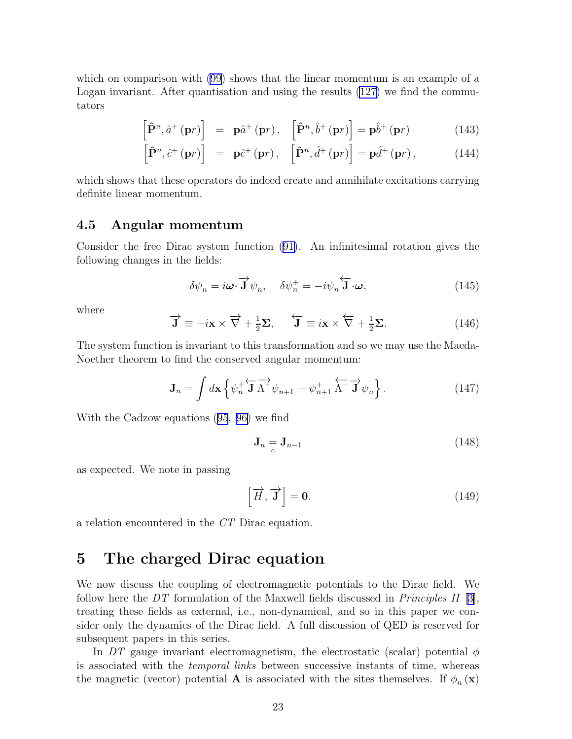which on comparison with [\(99](#page-16-0)) shows that the linear momentum is an example of a Logan invariant. After quantisation and using the results [\(127\)](#page-19-0) we find the commutators

$$
\left[\hat{\mathbf{P}}^n, \hat{a}^+(\mathbf{p}r)\right] = \mathbf{p}\hat{a}^+(\mathbf{p}r), \quad \left[\hat{\mathbf{P}}^n, \hat{b}^+(\mathbf{p}r)\right] = \mathbf{p}\hat{b}^+(\mathbf{p}r) \tag{143}
$$

$$
\left[\hat{\mathbf{P}}^n, \hat{c}^+(\mathbf{p}r)\right] = \mathbf{p}\hat{c}^+(\mathbf{p}r), \quad \left[\hat{\mathbf{P}}^n, \hat{d}^+(\mathbf{p}r)\right] = \mathbf{p}\hat{d}^+(\mathbf{p}r), \quad (144)
$$

which shows that these operators do indeed create and annihilate excitations carrying definite linear momentum.

#### 4.5 Angular momentum

Consider the free Dirac system function [\(91\)](#page-15-0). An infinitesimal rotation gives the following changes in the fields:

$$
\delta\psi_n = i\boldsymbol{\omega}\cdot\overrightarrow{\mathbf{J}}\psi_n, \quad \delta\psi_n^+ = -i\psi_n\overleftarrow{\mathbf{J}}\cdot\boldsymbol{\omega}, \tag{145}
$$

where

$$
\overrightarrow{\mathbf{J}} \equiv -i\mathbf{x} \times \overrightarrow{\nabla} + \frac{1}{2}\Sigma, \qquad \overleftarrow{\mathbf{J}} \equiv i\mathbf{x} \times \overleftarrow{\nabla} + \frac{1}{2}\Sigma.
$$
 (146)

The system function is invariant to this transformation and so we may use the Maeda-Noether theorem to find the conserved angular momentum:

$$
\mathbf{J}_n = \int d\mathbf{x} \left\{ \psi_n^+ \overleftarrow{\mathbf{J}} \overrightarrow{\Lambda^+} \psi_{n+1} + \psi_{n+1}^+ \overleftarrow{\Lambda^-} \overrightarrow{\mathbf{J}} \psi_n \right\} . \tag{147}
$$

With the Cadzow equations([95](#page-15-0), [96\)](#page-15-0) we find

$$
\mathbf{J}_n = \mathbf{J}_{n-1} \tag{148}
$$

as expected. We note in passing

$$
\left[\overrightarrow{H}, \overrightarrow{J}\right] = \mathbf{0}.\tag{149}
$$

a relation encountered in the *CT* Dirac equation.

### 5 The charged Dirac equation

We now discuss the coupling of electromagnetic potentials to the Dirac field. We follow here the *DT* formulation of the Maxwell fields discussed in *Principles II* [[3\]](#page-26-0), treating these fields as external, i.e., non-dynamical, and so in this paper we consider only the dynamics of the Dirac field. A full discussion of QED is reserved for subsequent papers in this series.

In *DT* gauge invariant electromagnetism, the electrostatic (scalar) potential  $\phi$ is associated with the *temporal links* between successive instants of time, whereas the magnetic (vector) potential **A** is associated with the sites themselves. If  $\phi_n(\mathbf{x})$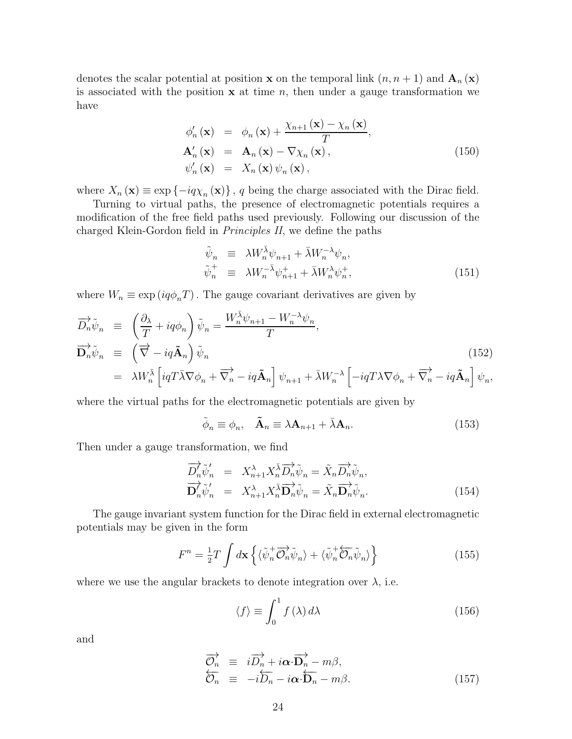denotes the scalar potential at position **x** on the temporal link  $(n, n + 1)$  and  $\mathbf{A}_n(\mathbf{x})$ is associated with the position  $x$  at time  $n$ , then under a gauge transformation we have

$$
\begin{array}{rcl}\n\phi'_{n}(\mathbf{x}) & = & \phi_{n}(\mathbf{x}) + \frac{\chi_{n+1}(\mathbf{x}) - \chi_{n}(\mathbf{x})}{T}, \\
\mathbf{A}'_{n}(\mathbf{x}) & = & \mathbf{A}_{n}(\mathbf{x}) - \nabla \chi_{n}(\mathbf{x}), \\
\psi'_{n}(\mathbf{x}) & = & \chi_{n}(\mathbf{x}) \psi_{n}(\mathbf{x}),\n\end{array} \tag{150}
$$

where  $X_n(\mathbf{x}) \equiv \exp\{-iq\chi_n(\mathbf{x})\}\,$ , q being the charge associated with the Dirac field.

Turning to virtual paths, the presence of electromagnetic potentials requires a modification of the free field paths used previously. Following our discussion of the charged Klein-Gordon field in *Principles II*, we define the paths

$$
\tilde{\psi}_n \equiv \lambda W_n^{\bar{\lambda}} \psi_{n+1} + \bar{\lambda} W_n^{-\lambda} \psi_n,
$$
\n
$$
\tilde{\psi}_n^+ \equiv \lambda W_n^{-\bar{\lambda}} \psi_{n+1}^+ + \bar{\lambda} W_n^{\lambda} \psi_n^+,
$$
\n(151)

where  $W_n \equiv \exp(iq\phi_n T)$ . The gauge covariant derivatives are given by

$$
\overrightarrow{D_n}\tilde{\psi}_n \equiv \left(\frac{\partial_{\lambda}}{T} + iq\phi_n\right)\tilde{\psi}_n = \frac{W_n^{\bar{\lambda}}\psi_{n+1} - W_n^{-\lambda}\psi_n}{T},
$$
\n
$$
\overrightarrow{D_n}\tilde{\psi}_n \equiv \left(\overrightarrow{\nabla} - iq\tilde{\mathbf{A}}_n\right)\tilde{\psi}_n
$$
\n
$$
= \lambda W_n^{\bar{\lambda}} \left[iqT\bar{\lambda}\nabla\phi_n + \overrightarrow{\nabla_n} - iq\tilde{\mathbf{A}}_n\right]\psi_{n+1} + \bar{\lambda}W_n^{-\lambda} \left[-iqT\lambda\nabla\phi_n + \overrightarrow{\nabla_n} - iq\tilde{\mathbf{A}}_n\right]\psi_n,
$$
\n(152)

where the virtual paths for the electromagnetic potentials are given by

$$
\tilde{\phi}_n \equiv \phi_n, \quad \tilde{\mathbf{A}}_n \equiv \lambda \mathbf{A}_{n+1} + \bar{\lambda} \mathbf{A}_n. \tag{153}
$$

Then under a gauge transformation, we find

$$
\overrightarrow{D_n}\tilde{\psi}'_n = X_{n+1}^{\lambda} X_n^{\overrightarrow{\lambda}} \overrightarrow{D_n}\tilde{\psi}_n = \tilde{X}_n \overrightarrow{D_n}\tilde{\psi}_n, \n\overrightarrow{D_n}\tilde{\psi}'_n = X_{n+1}^{\lambda} X_n^{\overrightarrow{\lambda}} \overrightarrow{D_n}\tilde{\psi}_n = \tilde{X}_n \overrightarrow{D_n}\tilde{\psi}_n.
$$
\n(154)

The gauge invariant system function for the Dirac field in external electromagnetic potentials may be given in the form

$$
F^{n} = \frac{1}{2}T \int d\mathbf{x} \left\{ \langle \tilde{\psi}_{n}^{+} \overrightarrow{\mathcal{O}_{n}} \tilde{\psi}_{n} \rangle + \langle \tilde{\psi}_{n}^{+} \overleftarrow{\mathcal{O}_{n}} \tilde{\psi}_{n} \rangle \right\} \tag{155}
$$

where we use the angular brackets to denote integration over  $\lambda$ , i.e.

$$
\langle f \rangle \equiv \int_0^1 f(\lambda) \, d\lambda \tag{156}
$$

and

$$
\overrightarrow{\mathcal{O}_n} \equiv i \overrightarrow{D_n} + i \alpha \cdot \overrightarrow{D_n} - m \beta, \n\overleftarrow{\mathcal{O}_n} \equiv -i \overleftarrow{D_n} - i \alpha \cdot \overleftarrow{D_n} - m \beta.
$$
\n(157)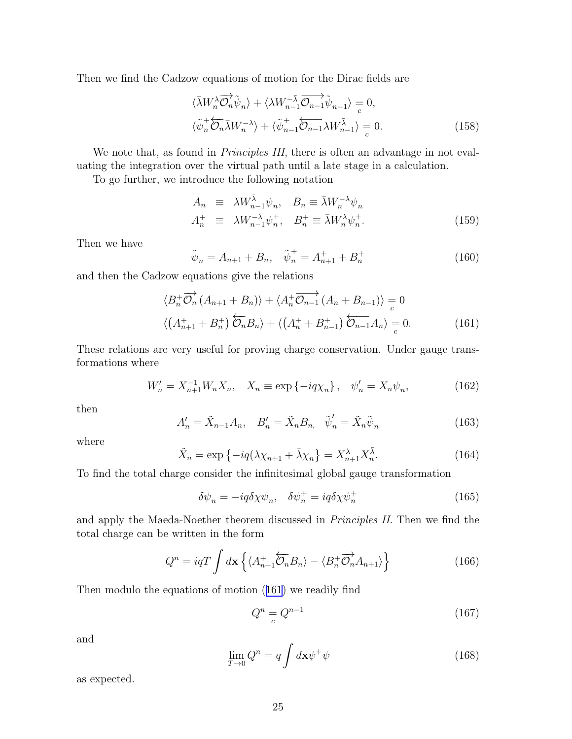Then we find the Cadzow equations of motion for the Dirac fields are

$$
\langle \bar{\lambda} W_n^{\lambda} \overrightarrow{\mathcal{O}_n} \tilde{\psi}_n \rangle + \langle \lambda W_{n-1}^{-\bar{\lambda}} \overrightarrow{\mathcal{O}_{n-1}} \tilde{\psi}_{n-1} \rangle = 0,
$$
  

$$
\langle \tilde{\psi}_n^+ \overleftarrow{\mathcal{O}_n} \bar{\lambda} W_n^{-\lambda} \rangle + \langle \tilde{\psi}_{n-1}^+ \overleftarrow{\mathcal{O}_{n-1}} \lambda W_{n-1}^{\bar{\lambda}} \rangle = 0.
$$
 (158)

We note that, as found in *Principles III*, there is often an advantage in not evaluating the integration over the virtual path until a late stage in a calculation.

To go further, we introduce the following notation

$$
A_n \equiv \lambda W_{n-1}^{\bar{\lambda}} \psi_n, \quad B_n \equiv \bar{\lambda} W_n^{-\lambda} \psi_n
$$
  
\n
$$
A_n^+ \equiv \lambda W_{n-1}^{-\bar{\lambda}} \psi_n^+, \quad B_n^+ \equiv \bar{\lambda} W_n^{\lambda} \psi_n^+.
$$
\n(159)

Then we have

$$
\tilde{\psi}_n = A_{n+1} + B_n, \quad \tilde{\psi}_n^+ = A_{n+1}^+ + B_n^+ \tag{160}
$$

and then the Cadzow equations give the relations

$$
\langle B_n^+ \overrightarrow{\mathcal{O}}_n (A_{n+1} + B_n) \rangle + \langle A_n^+ \overrightarrow{\mathcal{O}}_{n-1} (A_n + B_{n-1}) \rangle = 0
$$
  

$$
\langle (A_{n+1}^+ + B_n^+) \overleftarrow{\mathcal{O}}_n B_n \rangle + \langle (A_n^+ + B_{n-1}^+) \overleftarrow{\mathcal{O}}_{n-1} A_n \rangle = 0.
$$
 (161)

These relations are very useful for proving charge conservation. Under gauge transformations where

$$
W_n' = X_{n+1}^{-1} W_n X_n, \quad X_n \equiv \exp\{-iq\chi_n\}, \quad \psi_n' = X_n \psi_n,\tag{162}
$$

then

$$
A'_n = \tilde{X}_{n-1} A_n, \quad B'_n = \tilde{X}_n B_n, \quad \tilde{\psi}'_n = \tilde{X}_n \tilde{\psi}_n \tag{163}
$$

where

$$
\tilde{X}_n = \exp\left\{-iq(\lambda \chi_{n+1} + \bar{\lambda} \chi_n)\right\} = X_{n+1}^{\lambda} X_n^{\bar{\lambda}}.
$$
\n(164)

To find the total charge consider the infinitesimal global gauge transformation

$$
\delta\psi_n = -iq\delta\chi\psi_n, \quad \delta\psi_n^+ = iq\delta\chi\psi_n^+\tag{165}
$$

and apply the Maeda-Noether theorem discussed in *Principles II*. Then we find the total charge can be written in the form

$$
Q^{n} = iqT \int d\mathbf{x} \left\{ \langle A_{n+1}^{+} \overleftarrow{\mathcal{O}_{n}} B_{n} \rangle - \langle B_{n}^{+} \overrightarrow{\mathcal{O}_{n}} A_{n+1} \rangle \right\} \tag{166}
$$

Then modulo the equations of motion (161) we readily find

$$
Q^n \underset{c}{=} Q^{n-1} \tag{167}
$$

and

$$
\lim_{T \to 0} Q^n = q \int d\mathbf{x} \psi^+ \psi \tag{168}
$$

as expected.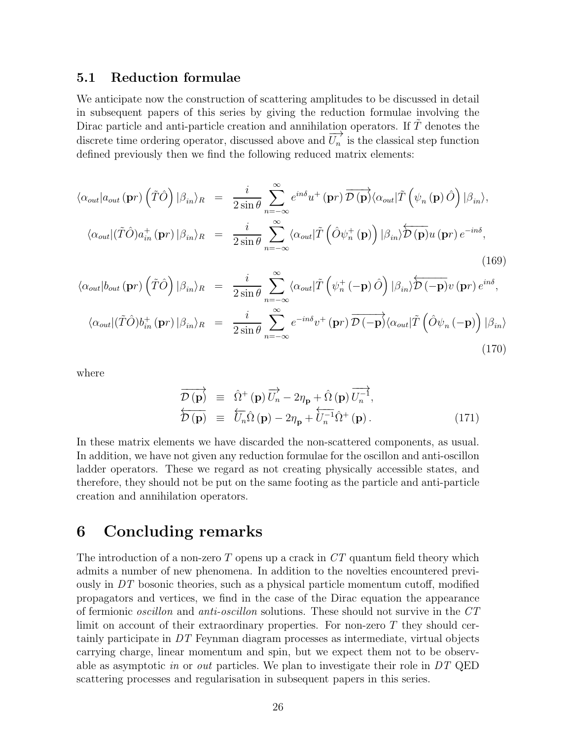#### 5.1 Reduction formulae

We anticipate now the construction of scattering amplitudes to be discussed in detail in subsequent papers of this series by giving the reduction formulae involving the Dirac particle and anti-particle creation and annihilation operators. If  $\tilde{T}$  denotes the discrete time ordering operator, discussed above and  $\overrightarrow{U_n}$  is the classical step function defined previously then we find the following reduced matrix elements:

$$
\langle \alpha_{out} | a_{out} (\mathbf{p}r) \left( \tilde{T} \hat{O} \right) | \beta_{in} \rangle_R = \frac{i}{2 \sin \theta} \sum_{n=-\infty}^{\infty} e^{in\delta} u^+ (\mathbf{p}r) \overrightarrow{\mathcal{D}(\mathbf{p})} \langle \alpha_{out} | \tilde{T} \left( \psi_n (\mathbf{p}) \hat{O} \right) | \beta_{in} \rangle,
$$
  

$$
\langle \alpha_{out} | (\tilde{T} \hat{O}) a_{in}^+ (\mathbf{p}r) | \beta_{in} \rangle_R = \frac{i}{2 \sin \theta} \sum_{n=-\infty}^{\infty} \langle \alpha_{out} | \tilde{T} \left( \hat{O} \psi_n^+ (\mathbf{p}) \right) | \beta_{in} \rangle \overleftarrow{\mathcal{D}(\mathbf{p})} u (\mathbf{p}r) e^{-in\delta},
$$
(169)

$$
\langle \alpha_{out} | b_{out} (\mathbf{p}r) (\tilde{T}\hat{O}) | \beta_{in} \rangle_R = \frac{i}{2 \sin \theta} \sum_{n=-\infty}^{\infty} \langle \alpha_{out} | \tilde{T} (\psi_n^+ (-\mathbf{p}) \hat{O}) | \beta_{in} \rangle \overleftarrow{D(-\mathbf{p})} v (\mathbf{p}r) e^{in \delta},
$$

$$
\langle \alpha_{out} | (\tilde{T}\hat{O}) b_{in}^+ (\mathbf{p}r) | \beta_{in} \rangle_R = \frac{i}{2 \sin \theta} \sum_{n=-\infty}^{\infty} e^{-in \delta} v^+ (\mathbf{p}r) \overrightarrow{D(-\mathbf{p})} \langle \alpha_{out} | \tilde{T} (\hat{O} \psi_n (-\mathbf{p})) | \beta_{in} \rangle
$$
(170)

where

$$
\overrightarrow{\mathcal{D}(\mathbf{p})} \equiv \hat{\Omega}^+(\mathbf{p}) \overrightarrow{U_n} - 2\eta_{\mathbf{p}} + \hat{\Omega}(\mathbf{p}) \overrightarrow{U_n}^{\mathbf{1}}, \n\overleftarrow{\mathcal{D}(\mathbf{p})} \equiv \overleftarrow{U_n} \hat{\Omega}(\mathbf{p}) - 2\eta_{\mathbf{p}} + \overleftarrow{U_n}^{\mathbf{-1}} \hat{\Omega}^+(\mathbf{p}).
$$
\n(171)

In these matrix elements we have discarded the non-scattered components, as usual. In addition, we have not given any reduction formulae for the oscillon and anti-oscillon ladder operators. These we regard as not creating physically accessible states, and therefore, they should not be put on the same footing as the particle and anti-particle creation and annihilation operators.

### 6 Concluding remarks

The introduction of a non-zero T opens up a crack in *CT* quantum field theory which admits a number of new phenomena. In addition to the novelties encountered previously in *DT* bosonic theories, such as a physical particle momentum cutoff, modified propagators and vertices, we find in the case of the Dirac equation the appearance of fermionic *oscillon* and *anti-oscillon* solutions. These should not survive in the *CT* limit on account of their extraordinary properties. For non-zero  $T$  they should certainly participate in *DT* Feynman diagram processes as intermediate, virtual objects carrying charge, linear momentum and spin, but we expect them not to be observable as asymptotic *in* or *out* particles. We plan to investigate their role in *DT* QED scattering processes and regularisation in subsequent papers in this series.